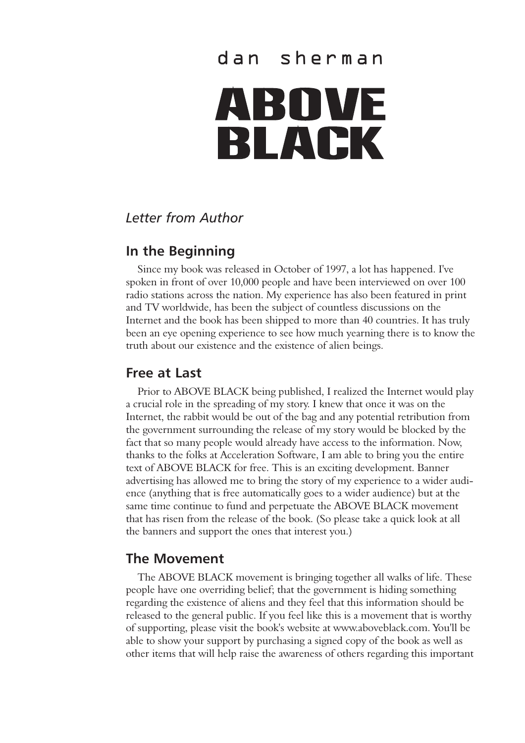# dan sherman Above Black

## Letter from Author

## In the Beginning

Since my book was released in October of 1997, a lot has happened. I've spoken in front of over 10,000 people and have been interviewed on over 100 radio stations across the nation. My experience has also been featured in print and TV worldwide, has been the subject of countless discussions on the Internet and the book has been shipped to more than 40 countries. It has truly been an eye opening experience to see how much yearning there is to know the truth about our existence and the existence of alien beings.

## Free at Last

Prior to ABOVE BLACK being published, I realized the Internet would play a crucial role in the spreading of my story. I knew that once it was on the Internet, the rabbit would be out of the bag and any potential retribution from the government surrounding the release of my story would be blocked by the fact that so many people would already have access to the information. Now, thanks to the folks at Acceleration Software, I am able to bring you the entire text of ABOVE BLACK for free. This is an exciting development. Banner advertising has allowed me to bring the story of my experience to a wider audience (anything that is free automatically goes to a wider audience) but at the same time continue to fund and perpetuate the ABOVE BLACK movement that has risen from the release of the book. (So please take a quick look at all the banners and support the ones that interest you.)

## The Movement

The ABOVE BLACK movement is bringing together all walks of life. These people have one overriding belief; that the government is hiding something regarding the existence of aliens and they feel that this information should be released to the general public. If you feel like this is a movement that is worthy of supporting, please visit the book's website at www.aboveblack.com. You'll be able to show your support by purchasing a signed copy of the book as well as other items that will help raise the awareness of others regarding this important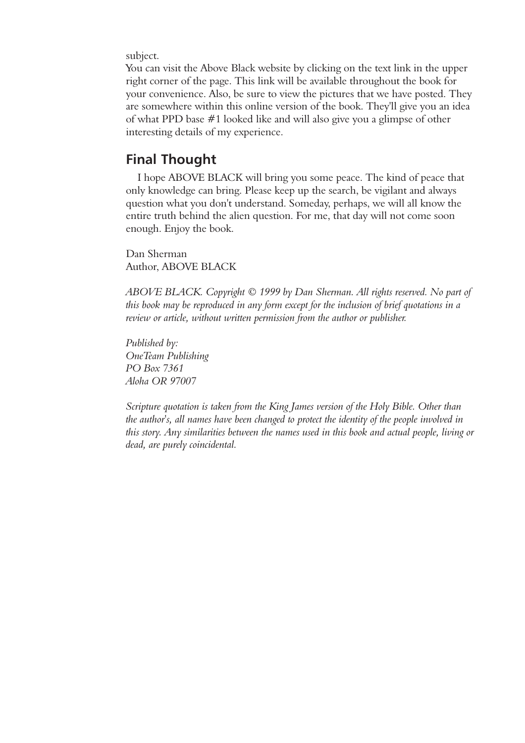subject.

You can visit the Above Black website by clicking on the text link in the upper right corner of the page. This link will be available throughout the book for your convenience. Also, be sure to view the pictures that we have posted. They are somewhere within this online version of the book. They'll give you an idea of what PPD base #1 looked like and will also give you a glimpse of other interesting details of my experience.

## Final Thought

I hope ABOVE BLACK will bring you some peace. The kind of peace that only knowledge can bring. Please keep up the search, be vigilant and always question what you don't understand. Someday, perhaps, we will all know the entire truth behind the alien question. For me, that day will not come soon enough. Enjoy the book.

Dan Sherman Author, ABOVE BLACK

ABOVE BLACK. Copyright © 1999 by Dan Sherman. All rights reserved. No part of this book may be reproduced in any form except for the inclusion of brief quotations in a review or article, without written permission from the author or publisher.

Published by: OneTeam Publishing PO Box 7361 Aloha OR 97007

Scripture quotation is taken from the King James version of the Holy Bible. Other than the author's, all names have been changed to protect the identity of the people involved in this story. Any similarities between the names used in this book and actual people, living or dead, are purely coincidental.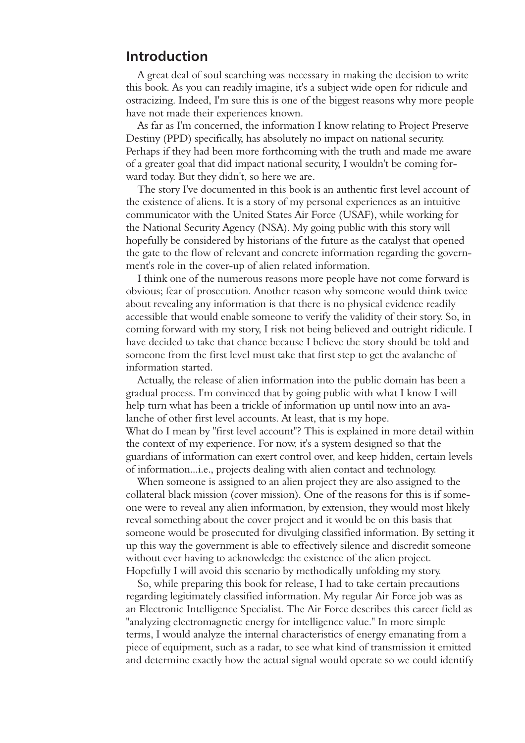## Introduction

A great deal of soul searching was necessary in making the decision to write this book. As you can readily imagine, it's a subject wide open for ridicule and ostracizing. Indeed, I'm sure this is one of the biggest reasons why more people have not made their experiences known.

As far as I'm concerned, the information I know relating to Project Preserve Destiny (PPD) specifically, has absolutely no impact on national security. Perhaps if they had been more forthcoming with the truth and made me aware of a greater goal that did impact national security, I wouldn't be coming forward today. But they didn't, so here we are.

The story I've documented in this book is an authentic first level account of the existence of aliens. It is a story of my personal experiences as an intuitive communicator with the United States Air Force (USAF), while working for the National Security Agency (NSA). My going public with this story will hopefully be considered by historians of the future as the catalyst that opened the gate to the flow of relevant and concrete information regarding the government's role in the cover-up of alien related information.

I think one of the numerous reasons more people have not come forward is obvious; fear of prosecution. Another reason why someone would think twice about revealing any information is that there is no physical evidence readily accessible that would enable someone to verify the validity of their story. So, in coming forward with my story, I risk not being believed and outright ridicule. I have decided to take that chance because I believe the story should be told and someone from the first level must take that first step to get the avalanche of information started.

Actually, the release of alien information into the public domain has been a gradual process. I'm convinced that by going public with what I know I will help turn what has been a trickle of information up until now into an avalanche of other first level accounts. At least, that is my hope. What do I mean by "first level account"? This is explained in more detail within the context of my experience. For now, it's a system designed so that the guardians of information can exert control over, and keep hidden, certain levels of information...i.e., projects dealing with alien contact and technology.

When someone is assigned to an alien project they are also assigned to the collateral black mission (cover mission). One of the reasons for this is if someone were to reveal any alien information, by extension, they would most likely reveal something about the cover project and it would be on this basis that someone would be prosecuted for divulging classified information. By setting it up this way the government is able to effectively silence and discredit someone without ever having to acknowledge the existence of the alien project. Hopefully I will avoid this scenario by methodically unfolding my story.

So, while preparing this book for release, I had to take certain precautions regarding legitimately classified information. My regular Air Force job was as an Electronic Intelligence Specialist. The Air Force describes this career field as "analyzing electromagnetic energy for intelligence value." In more simple terms, I would analyze the internal characteristics of energy emanating from a piece of equipment, such as a radar, to see what kind of transmission it emitted and determine exactly how the actual signal would operate so we could identify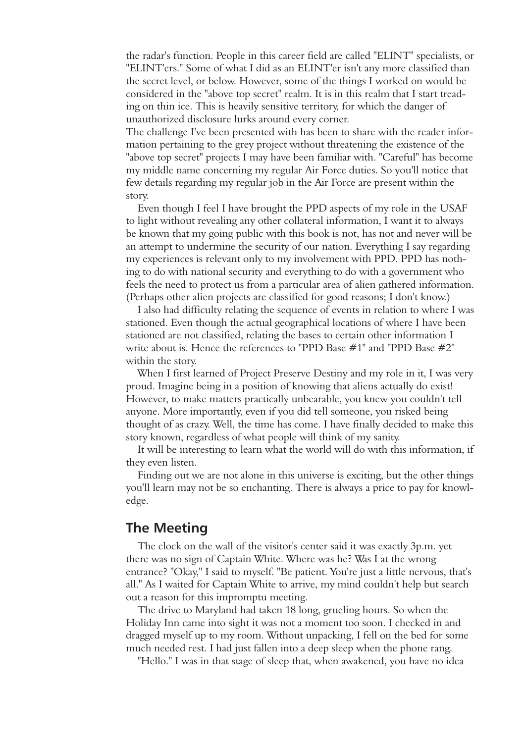the radar's function. People in this career field are called "ELINT" specialists, or "ELINT'ers." Some of what I did as an ELINT'er isn't any more classified than the secret level, or below. However, some of the things I worked on would be considered in the "above top secret" realm. It is in this realm that I start treading on thin ice. This is heavily sensitive territory, for which the danger of unauthorized disclosure lurks around every corner.

The challenge I've been presented with has been to share with the reader information pertaining to the grey project without threatening the existence of the "above top secret" projects I may have been familiar with. "Careful" has become my middle name concerning my regular Air Force duties. So you'll notice that few details regarding my regular job in the Air Force are present within the story.

Even though I feel I have brought the PPD aspects of my role in the USAF to light without revealing any other collateral information, I want it to always be known that my going public with this book is not, has not and never will be an attempt to undermine the security of our nation. Everything I say regarding my experiences is relevant only to my involvement with PPD. PPD has nothing to do with national security and everything to do with a government who feels the need to protect us from a particular area of alien gathered information. (Perhaps other alien projects are classified for good reasons; I don't know.)

I also had difficulty relating the sequence of events in relation to where I was stationed. Even though the actual geographical locations of where I have been stationed are not classified, relating the bases to certain other information I write about is. Hence the references to "PPD Base #1" and "PPD Base #2" within the story.

When I first learned of Project Preserve Destiny and my role in it, I was very proud. Imagine being in a position of knowing that aliens actually do exist! However, to make matters practically unbearable, you knew you couldn't tell anyone. More importantly, even if you did tell someone, you risked being thought of as crazy. Well, the time has come. I have finally decided to make this story known, regardless of what people will think of my sanity.

It will be interesting to learn what the world will do with this information, if they even listen.

Finding out we are not alone in this universe is exciting, but the other things you'll learn may not be so enchanting. There is always a price to pay for knowledge.

#### The Meeting

The clock on the wall of the visitor's center said it was exactly 3p.m. yet there was no sign of Captain White. Where was he? Was I at the wrong entrance? "Okay," I said to myself. "Be patient. You're just a little nervous, that's all." As I waited for Captain White to arrive, my mind couldn't help but search out a reason for this impromptu meeting.

The drive to Maryland had taken 18 long, grueling hours. So when the Holiday Inn came into sight it was not a moment too soon. I checked in and dragged myself up to my room. Without unpacking, I fell on the bed for some much needed rest. I had just fallen into a deep sleep when the phone rang.

"Hello." I was in that stage of sleep that, when awakened, you have no idea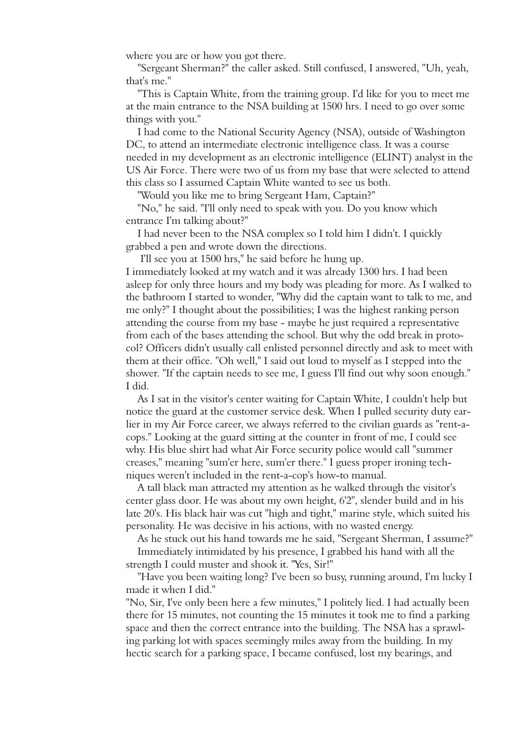where you are or how you got there.

"Sergeant Sherman?" the caller asked. Still confused, I answered, "Uh, yeah, that's me."

"This is Captain White, from the training group. I'd like for you to meet me at the main entrance to the NSA building at 1500 hrs. I need to go over some things with you."

I had come to the National Security Agency (NSA), outside of Washington DC, to attend an intermediate electronic intelligence class. It was a course needed in my development as an electronic intelligence (ELINT) analyst in the US Air Force. There were two of us from my base that were selected to attend this class so I assumed Captain White wanted to see us both.

"Would you like me to bring Sergeant Ham, Captain?"

"No," he said. "I'll only need to speak with you. Do you know which entrance I'm talking about?"

I had never been to the NSA complex so I told him I didn't. I quickly grabbed a pen and wrote down the directions.

I'll see you at 1500 hrs," he said before he hung up.

I immediately looked at my watch and it was already 1300 hrs. I had been asleep for only three hours and my body was pleading for more. As I walked to the bathroom I started to wonder, "Why did the captain want to talk to me, and me only?" I thought about the possibilities; I was the highest ranking person attending the course from my base - maybe he just required a representative from each of the bases attending the school. But why the odd break in protocol? Officers didn't usually call enlisted personnel directly and ask to meet with them at their office. "Oh well," I said out loud to myself as I stepped into the shower. "If the captain needs to see me, I guess I'll find out why soon enough." I did.

As I sat in the visitor's center waiting for Captain White, I couldn't help but notice the guard at the customer service desk. When I pulled security duty earlier in my Air Force career, we always referred to the civilian guards as "rent-acops." Looking at the guard sitting at the counter in front of me, I could see why. His blue shirt had what Air Force security police would call "summer creases," meaning "sum'er here, sum'er there." I guess proper ironing techniques weren't included in the rent-a-cop's how-to manual.

A tall black man attracted my attention as he walked through the visitor's center glass door. He was about my own height, 6'2", slender build and in his late 20's. His black hair was cut "high and tight," marine style, which suited his personality. He was decisive in his actions, with no wasted energy.

As he stuck out his hand towards me he said, "Sergeant Sherman, I assume?"

Immediately intimidated by his presence, I grabbed his hand with all the strength I could muster and shook it. "Yes, Sir!"

"Have you been waiting long? I've been so busy, running around, I'm lucky I made it when I did."

"No, Sir, I've only been here a few minutes," I politely lied. I had actually been there for 15 minutes, not counting the 15 minutes it took me to find a parking space and then the correct entrance into the building. The NSA has a sprawling parking lot with spaces seemingly miles away from the building. In my hectic search for a parking space, I became confused, lost my bearings, and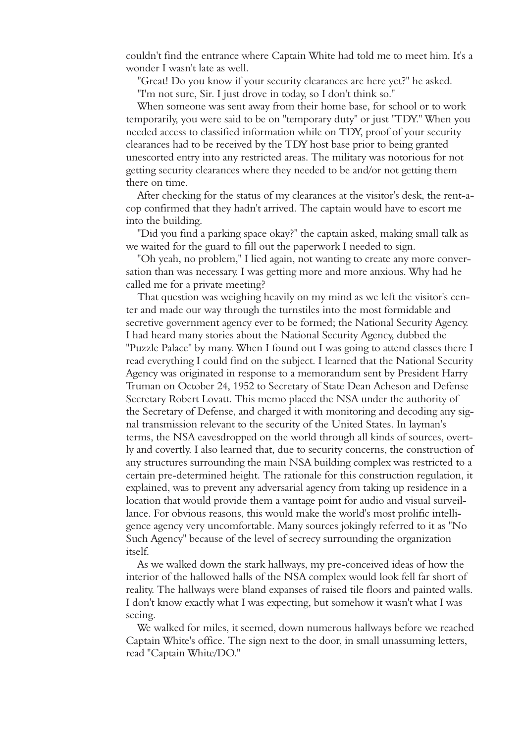couldn't find the entrance where Captain White had told me to meet him. It's a wonder I wasn't late as well.

"Great! Do you know if your security clearances are here yet?" he asked.

"I'm not sure, Sir. I just drove in today, so I don't think so."

When someone was sent away from their home base, for school or to work temporarily, you were said to be on "temporary duty" or just "TDY." When you needed access to classified information while on TDY, proof of your security clearances had to be received by the TDY host base prior to being granted unescorted entry into any restricted areas. The military was notorious for not getting security clearances where they needed to be and/or not getting them there on time.

After checking for the status of my clearances at the visitor's desk, the rent-acop confirmed that they hadn't arrived. The captain would have to escort me into the building.

"Did you find a parking space okay?" the captain asked, making small talk as we waited for the guard to fill out the paperwork I needed to sign.

"Oh yeah, no problem," I lied again, not wanting to create any more conversation than was necessary. I was getting more and more anxious. Why had he called me for a private meeting?

That question was weighing heavily on my mind as we left the visitor's center and made our way through the turnstiles into the most formidable and secretive government agency ever to be formed; the National Security Agency. I had heard many stories about the National Security Agency, dubbed the "Puzzle Palace" by many. When I found out I was going to attend classes there I read everything I could find on the subject. I learned that the National Security Agency was originated in response to a memorandum sent by President Harry Truman on October 24, 1952 to Secretary of State Dean Acheson and Defense Secretary Robert Lovatt. This memo placed the NSA under the authority of the Secretary of Defense, and charged it with monitoring and decoding any signal transmission relevant to the security of the United States. In layman's terms, the NSA eavesdropped on the world through all kinds of sources, overtly and covertly. I also learned that, due to security concerns, the construction of any structures surrounding the main NSA building complex was restricted to a certain pre-determined height. The rationale for this construction regulation, it explained, was to prevent any adversarial agency from taking up residence in a location that would provide them a vantage point for audio and visual surveillance. For obvious reasons, this would make the world's most prolific intelligence agency very uncomfortable. Many sources jokingly referred to it as "No Such Agency" because of the level of secrecy surrounding the organization itself.

As we walked down the stark hallways, my pre-conceived ideas of how the interior of the hallowed halls of the NSA complex would look fell far short of reality. The hallways were bland expanses of raised tile floors and painted walls. I don't know exactly what I was expecting, but somehow it wasn't what I was seeing.

We walked for miles, it seemed, down numerous hallways before we reached Captain White's office. The sign next to the door, in small unassuming letters, read "Captain White/DO."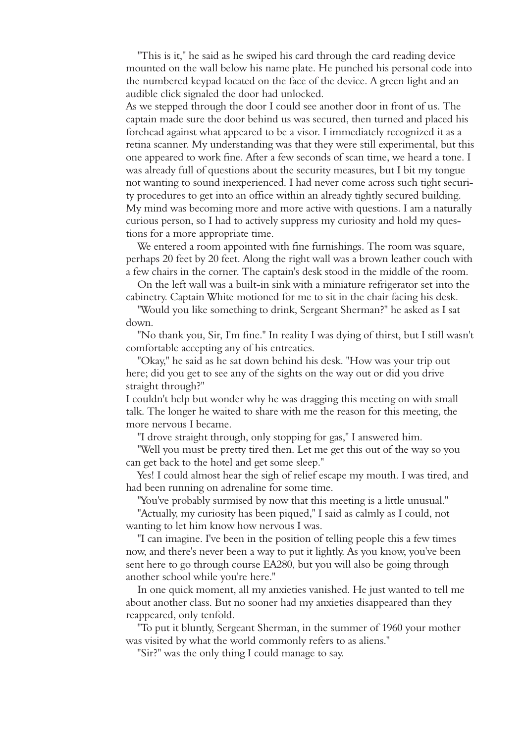"This is it," he said as he swiped his card through the card reading device mounted on the wall below his name plate. He punched his personal code into the numbered keypad located on the face of the device. A green light and an audible click signaled the door had unlocked.

As we stepped through the door I could see another door in front of us. The captain made sure the door behind us was secured, then turned and placed his forehead against what appeared to be a visor. I immediately recognized it as a retina scanner. My understanding was that they were still experimental, but this one appeared to work fine. After a few seconds of scan time, we heard a tone. I was already full of questions about the security measures, but I bit my tongue not wanting to sound inexperienced. I had never come across such tight security procedures to get into an office within an already tightly secured building. My mind was becoming more and more active with questions. I am a naturally curious person, so I had to actively suppress my curiosity and hold my questions for a more appropriate time.

We entered a room appointed with fine furnishings. The room was square, perhaps 20 feet by 20 feet. Along the right wall was a brown leather couch with a few chairs in the corner. The captain's desk stood in the middle of the room.

On the left wall was a built-in sink with a miniature refrigerator set into the cabinetry. Captain White motioned for me to sit in the chair facing his desk.

"Would you like something to drink, Sergeant Sherman?" he asked as I sat down.

"No thank you, Sir, I'm fine." In reality I was dying of thirst, but I still wasn't comfortable accepting any of his entreaties.

"Okay," he said as he sat down behind his desk. "How was your trip out here; did you get to see any of the sights on the way out or did you drive straight through?"

I couldn't help but wonder why he was dragging this meeting on with small talk. The longer he waited to share with me the reason for this meeting, the more nervous I became.

"I drove straight through, only stopping for gas," I answered him.

"Well you must be pretty tired then. Let me get this out of the way so you can get back to the hotel and get some sleep."

Yes! I could almost hear the sigh of relief escape my mouth. I was tired, and had been running on adrenaline for some time.

"You've probably surmised by now that this meeting is a little unusual."

"Actually, my curiosity has been piqued," I said as calmly as I could, not wanting to let him know how nervous I was.

"I can imagine. I've been in the position of telling people this a few times now, and there's never been a way to put it lightly. As you know, you've been sent here to go through course EA280, but you will also be going through another school while you're here."

In one quick moment, all my anxieties vanished. He just wanted to tell me about another class. But no sooner had my anxieties disappeared than they reappeared, only tenfold.

"To put it bluntly, Sergeant Sherman, in the summer of 1960 your mother was visited by what the world commonly refers to as aliens."

"Sir?" was the only thing I could manage to say.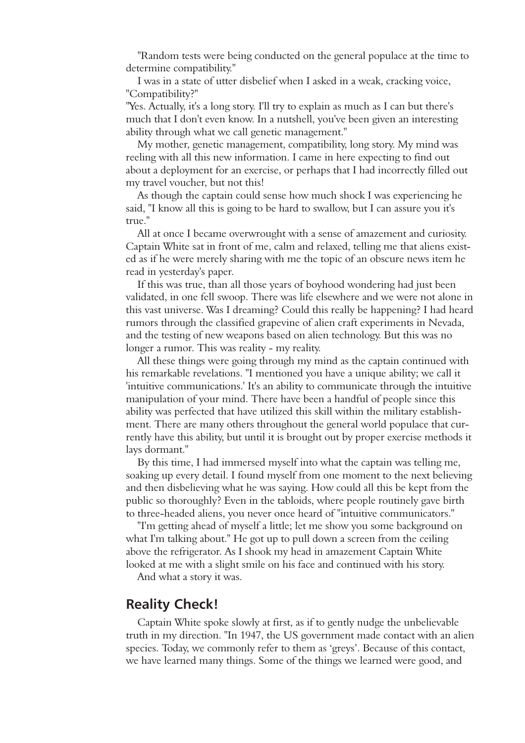"Random tests were being conducted on the general populace at the time to determine compatibility."

I was in a state of utter disbelief when I asked in a weak, cracking voice, "Compatibility?"

"Yes. Actually, it's a long story. I'll try to explain as much as I can but there's much that I don't even know. In a nutshell, you've been given an interesting ability through what we call genetic management."

My mother, genetic management, compatibility, long story. My mind was reeling with all this new information. I came in here expecting to find out about a deployment for an exercise, or perhaps that I had incorrectly filled out my travel voucher, but not this!

As though the captain could sense how much shock I was experiencing he said, "I know all this is going to be hard to swallow, but I can assure you it's true."

All at once I became overwrought with a sense of amazement and curiosity. Captain White sat in front of me, calm and relaxed, telling me that aliens existed as if he were merely sharing with me the topic of an obscure news item he read in yesterday's paper.

If this was true, than all those years of boyhood wondering had just been validated, in one fell swoop. There was life elsewhere and we were not alone in this vast universe. Was I dreaming? Could this really be happening? I had heard rumors through the classified grapevine of alien craft experiments in Nevada, and the testing of new weapons based on alien technology. But this was no longer a rumor. This was reality - my reality.

All these things were going through my mind as the captain continued with his remarkable revelations. "I mentioned you have a unique ability; we call it 'intuitive communications.' It's an ability to communicate through the intuitive manipulation of your mind. There have been a handful of people since this ability was perfected that have utilized this skill within the military establishment. There are many others throughout the general world populace that currently have this ability, but until it is brought out by proper exercise methods it lays dormant."

By this time, I had immersed myself into what the captain was telling me, soaking up every detail. I found myself from one moment to the next believing and then disbelieving what he was saying. How could all this be kept from the public so thoroughly? Even in the tabloids, where people routinely gave birth to three-headed aliens, you never once heard of "intuitive communicators."

"I'm getting ahead of myself a little; let me show you some background on what I'm talking about." He got up to pull down a screen from the ceiling above the refrigerator. As I shook my head in amazement Captain White looked at me with a slight smile on his face and continued with his story.

And what a story it was.

## Reality Check!

Captain White spoke slowly at first, as if to gently nudge the unbelievable truth in my direction. "In 1947, the US government made contact with an alien species. Today, we commonly refer to them as 'greys'. Because of this contact, we have learned many things. Some of the things we learned were good, and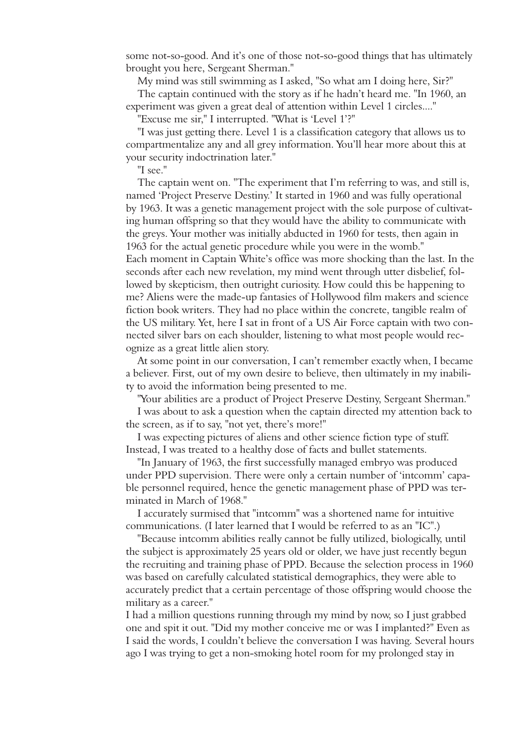some not-so-good. And it's one of those not-so-good things that has ultimately brought you here, Sergeant Sherman."

My mind was still swimming as I asked, "So what am I doing here, Sir?"

The captain continued with the story as if he hadn't heard me. "In 1960, an experiment was given a great deal of attention within Level 1 circles...."

"Excuse me sir," I interrupted. "What is 'Level 1'?"

"I was just getting there. Level 1 is a classification category that allows us to compartmentalize any and all grey information. You'll hear more about this at your security indoctrination later."

"I see."

The captain went on. "The experiment that I'm referring to was, and still is, named 'Project Preserve Destiny.' It started in 1960 and was fully operational by 1963. It was a genetic management project with the sole purpose of cultivating human offspring so that they would have the ability to communicate with the greys. Your mother was initially abducted in 1960 for tests, then again in 1963 for the actual genetic procedure while you were in the womb." Each moment in Captain White's office was more shocking than the last. In the seconds after each new revelation, my mind went through utter disbelief, followed by skepticism, then outright curiosity. How could this be happening to me? Aliens were the made-up fantasies of Hollywood film makers and science fiction book writers. They had no place within the concrete, tangible realm of the US military. Yet, here I sat in front of a US Air Force captain with two connected silver bars on each shoulder, listening to what most people would recognize as a great little alien story.

At some point in our conversation, I can't remember exactly when, I became a believer. First, out of my own desire to believe, then ultimately in my inability to avoid the information being presented to me.

"Your abilities are a product of Project Preserve Destiny, Sergeant Sherman." I was about to ask a question when the captain directed my attention back to the screen, as if to say, "not yet, there's more!"

I was expecting pictures of aliens and other science fiction type of stuff. Instead, I was treated to a healthy dose of facts and bullet statements.

"In January of 1963, the first successfully managed embryo was produced under PPD supervision. There were only a certain number of 'intcomm' capable personnel required, hence the genetic management phase of PPD was terminated in March of 1968."

I accurately surmised that "intcomm" was a shortened name for intuitive communications. (I later learned that I would be referred to as an "IC".)

"Because intcomm abilities really cannot be fully utilized, biologically, until the subject is approximately 25 years old or older, we have just recently begun the recruiting and training phase of PPD. Because the selection process in 1960 was based on carefully calculated statistical demographics, they were able to accurately predict that a certain percentage of those offspring would choose the military as a career."

I had a million questions running through my mind by now, so I just grabbed one and spit it out. "Did my mother conceive me or was I implanted?" Even as I said the words, I couldn't believe the conversation I was having. Several hours ago I was trying to get a non-smoking hotel room for my prolonged stay in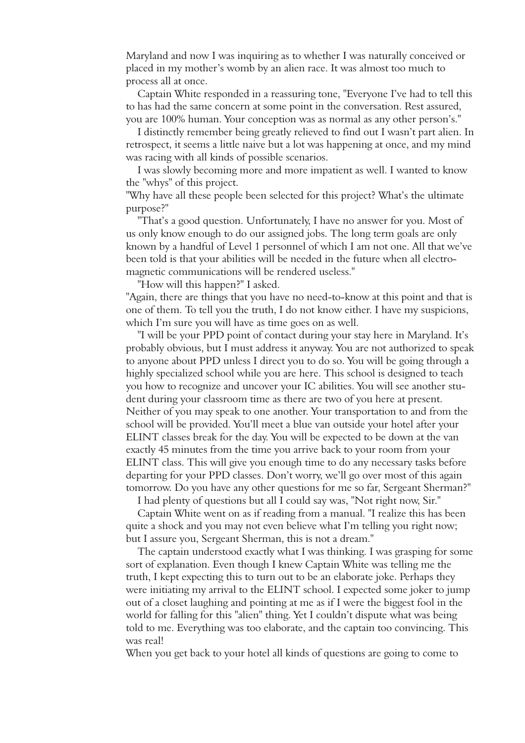Maryland and now I was inquiring as to whether I was naturally conceived or placed in my mother's womb by an alien race. It was almost too much to process all at once.

Captain White responded in a reassuring tone, "Everyone I've had to tell this to has had the same concern at some point in the conversation. Rest assured, you are 100% human. Your conception was as normal as any other person's."

I distinctly remember being greatly relieved to find out I wasn't part alien. In retrospect, it seems a little naive but a lot was happening at once, and my mind was racing with all kinds of possible scenarios.

I was slowly becoming more and more impatient as well. I wanted to know the "whys" of this project.

"Why have all these people been selected for this project? What's the ultimate purpose?"

"That's a good question. Unfortunately, I have no answer for you. Most of us only know enough to do our assigned jobs. The long term goals are only known by a handful of Level 1 personnel of which I am not one. All that we've been told is that your abilities will be needed in the future when all electromagnetic communications will be rendered useless."

"How will this happen?" I asked.

"Again, there are things that you have no need-to-know at this point and that is one of them. To tell you the truth, I do not know either. I have my suspicions, which I'm sure you will have as time goes on as well.

"I will be your PPD point of contact during your stay here in Maryland. It's probably obvious, but I must address it anyway. You are not authorized to speak to anyone about PPD unless I direct you to do so. You will be going through a highly specialized school while you are here. This school is designed to teach you how to recognize and uncover your IC abilities. You will see another student during your classroom time as there are two of you here at present. Neither of you may speak to one another. Your transportation to and from the school will be provided. You'll meet a blue van outside your hotel after your ELINT classes break for the day. You will be expected to be down at the van exactly 45 minutes from the time you arrive back to your room from your ELINT class. This will give you enough time to do any necessary tasks before departing for your PPD classes. Don't worry, we'll go over most of this again tomorrow. Do you have any other questions for me so far, Sergeant Sherman?"

I had plenty of questions but all I could say was, "Not right now, Sir."

Captain White went on as if reading from a manual. "I realize this has been quite a shock and you may not even believe what Im telling you right now; but I assure you, Sergeant Sherman, this is not a dream."

The captain understood exactly what I was thinking. I was grasping for some sort of explanation. Even though I knew Captain White was telling me the truth, I kept expecting this to turn out to be an elaborate joke. Perhaps they were initiating my arrival to the ELINT school. I expected some joker to jump out of a closet laughing and pointing at me as if I were the biggest fool in the world for falling for this "alien" thing. Yet I couldn't dispute what was being told to me. Everything was too elaborate, and the captain too convincing. This was real!

When you get back to your hotel all kinds of questions are going to come to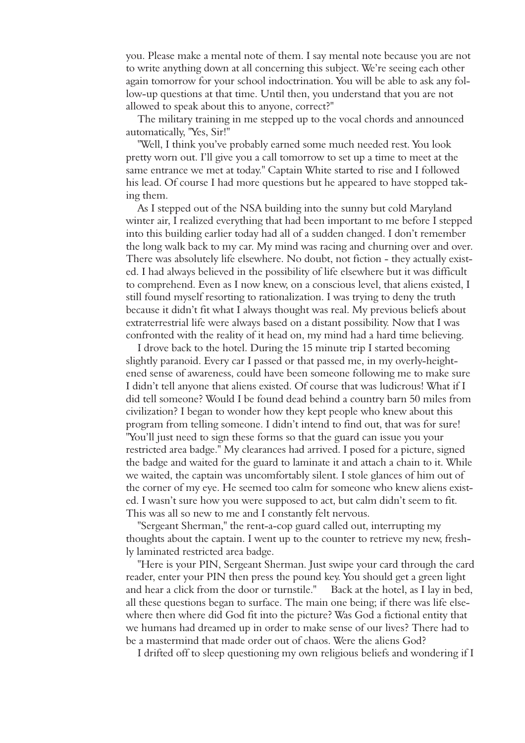you. Please make a mental note of them. I say mental note because you are not to write anything down at all concerning this subject. We're seeing each other again tomorrow for your school indoctrination. You will be able to ask any follow-up questions at that time. Until then, you understand that you are not allowed to speak about this to anyone, correct?"

The military training in me stepped up to the vocal chords and announced automatically, "Yes, Sir!"

"Well, I think you've probably earned some much needed rest. You look pretty worn out. I'll give you a call tomorrow to set up a time to meet at the same entrance we met at today." Captain White started to rise and I followed his lead. Of course I had more questions but he appeared to have stopped taking them.

As I stepped out of the NSA building into the sunny but cold Maryland winter air, I realized everything that had been important to me before I stepped into this building earlier today had all of a sudden changed. I don't remember the long walk back to my car. My mind was racing and churning over and over. There was absolutely life elsewhere. No doubt, not fiction - they actually existed. I had always believed in the possibility of life elsewhere but it was difficult to comprehend. Even as I now knew, on a conscious level, that aliens existed, I still found myself resorting to rationalization. I was trying to deny the truth because it didn't fit what I always thought was real. My previous beliefs about extraterrestrial life were always based on a distant possibility. Now that I was confronted with the reality of it head on, my mind had a hard time believing.

I drove back to the hotel. During the 15 minute trip I started becoming slightly paranoid. Every car I passed or that passed me, in my overly-heightened sense of awareness, could have been someone following me to make sure I didn't tell anyone that aliens existed. Of course that was ludicrous! What if I did tell someone? Would I be found dead behind a country barn 50 miles from civilization? I began to wonder how they kept people who knew about this program from telling someone. I didn't intend to find out, that was for sure! "You'll just need to sign these forms so that the guard can issue you your restricted area badge." My clearances had arrived. I posed for a picture, signed the badge and waited for the guard to laminate it and attach a chain to it. While we waited, the captain was uncomfortably silent. I stole glances of him out of the corner of my eye. He seemed too calm for someone who knew aliens existed. I wasn't sure how you were supposed to act, but calm didn't seem to fit. This was all so new to me and I constantly felt nervous.

"Sergeant Sherman," the rent-a-cop guard called out, interrupting my thoughts about the captain. I went up to the counter to retrieve my new, freshly laminated restricted area badge.

"Here is your PIN, Sergeant Sherman. Just swipe your card through the card reader, enter your PIN then press the pound key. You should get a green light and hear a click from the door or turnstile." Back at the hotel, as I lay in bed, all these questions began to surface. The main one being; if there was life elsewhere then where did God fit into the picture? Was God a fictional entity that we humans had dreamed up in order to make sense of our lives? There had to be a mastermind that made order out of chaos. Were the aliens God?

I drifted off to sleep questioning my own religious beliefs and wondering if I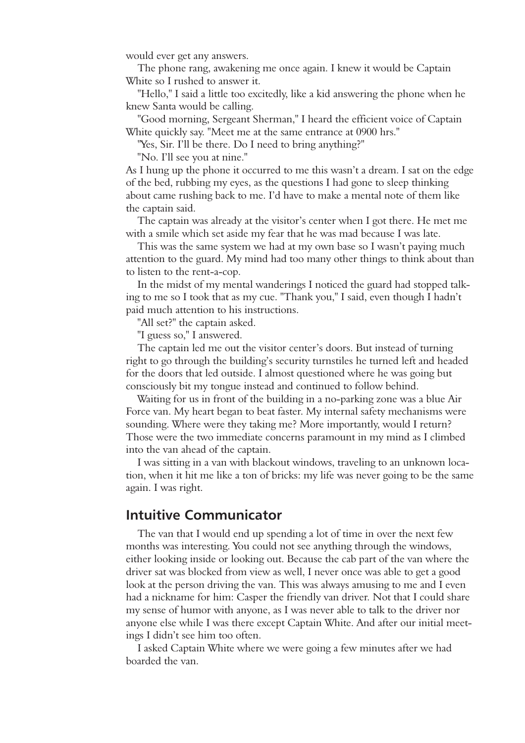would ever get any answers.

The phone rang, awakening me once again. I knew it would be Captain White so I rushed to answer it.

"Hello," I said a little too excitedly, like a kid answering the phone when he knew Santa would be calling.

"Good morning, Sergeant Sherman," I heard the efficient voice of Captain White quickly say. "Meet me at the same entrance at 0900 hrs."

"Yes, Sir. I'll be there. Do I need to bring anything?"

"No. I'll see you at nine."

As I hung up the phone it occurred to me this wasn't a dream. I sat on the edge of the bed, rubbing my eyes, as the questions I had gone to sleep thinking about came rushing back to me. Id have to make a mental note of them like the captain said.

The captain was already at the visitor's center when I got there. He met me with a smile which set aside my fear that he was mad because I was late.

This was the same system we had at my own base so I wasn't paying much attention to the guard. My mind had too many other things to think about than to listen to the rent-a-cop.

In the midst of my mental wanderings I noticed the guard had stopped talking to me so I took that as my cue. "Thank you," I said, even though I hadn't paid much attention to his instructions.

"All set?" the captain asked.

"I guess so," I answered.

The captain led me out the visitor center's doors. But instead of turning right to go through the building's security turnstiles he turned left and headed for the doors that led outside. I almost questioned where he was going but consciously bit my tongue instead and continued to follow behind.

Waiting for us in front of the building in a no-parking zone was a blue Air Force van. My heart began to beat faster. My internal safety mechanisms were sounding. Where were they taking me? More importantly, would I return? Those were the two immediate concerns paramount in my mind as I climbed into the van ahead of the captain.

I was sitting in a van with blackout windows, traveling to an unknown location, when it hit me like a ton of bricks: my life was never going to be the same again. I was right.

#### Intuitive Communicator

The van that I would end up spending a lot of time in over the next few months was interesting. You could not see anything through the windows, either looking inside or looking out. Because the cab part of the van where the driver sat was blocked from view as well, I never once was able to get a good look at the person driving the van. This was always amusing to me and I even had a nickname for him: Casper the friendly van driver. Not that I could share my sense of humor with anyone, as I was never able to talk to the driver nor anyone else while I was there except Captain White. And after our initial meetings I didn't see him too often.

I asked Captain White where we were going a few minutes after we had boarded the van.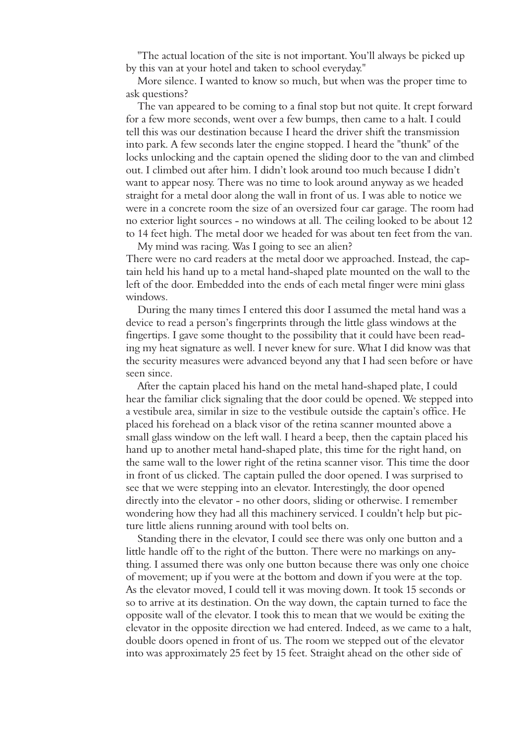"The actual location of the site is not important. You'll always be picked up by this van at your hotel and taken to school everyday."

More silence. I wanted to know so much, but when was the proper time to ask questions?

The van appeared to be coming to a final stop but not quite. It crept forward for a few more seconds, went over a few bumps, then came to a halt. I could tell this was our destination because I heard the driver shift the transmission into park. A few seconds later the engine stopped. I heard the "thunk" of the locks unlocking and the captain opened the sliding door to the van and climbed out. I climbed out after him. I didn't look around too much because I didn't want to appear nosy. There was no time to look around anyway as we headed straight for a metal door along the wall in front of us. I was able to notice we were in a concrete room the size of an oversized four car garage. The room had no exterior light sources - no windows at all. The ceiling looked to be about 12 to 14 feet high. The metal door we headed for was about ten feet from the van.

My mind was racing. Was I going to see an alien? There were no card readers at the metal door we approached. Instead, the captain held his hand up to a metal hand-shaped plate mounted on the wall to the left of the door. Embedded into the ends of each metal finger were mini glass windows.

During the many times I entered this door I assumed the metal hand was a device to read a person's fingerprints through the little glass windows at the fingertips. I gave some thought to the possibility that it could have been reading my heat signature as well. I never knew for sure. What I did know was that the security measures were advanced beyond any that I had seen before or have seen since.

After the captain placed his hand on the metal hand-shaped plate, I could hear the familiar click signaling that the door could be opened. We stepped into a vestibule area, similar in size to the vestibule outside the captain's office. He placed his forehead on a black visor of the retina scanner mounted above a small glass window on the left wall. I heard a beep, then the captain placed his hand up to another metal hand-shaped plate, this time for the right hand, on the same wall to the lower right of the retina scanner visor. This time the door in front of us clicked. The captain pulled the door opened. I was surprised to see that we were stepping into an elevator. Interestingly, the door opened directly into the elevator - no other doors, sliding or otherwise. I remember wondering how they had all this machinery serviced. I couldn't help but picture little aliens running around with tool belts on.

Standing there in the elevator, I could see there was only one button and a little handle off to the right of the button. There were no markings on anything. I assumed there was only one button because there was only one choice of movement; up if you were at the bottom and down if you were at the top. As the elevator moved, I could tell it was moving down. It took 15 seconds or so to arrive at its destination. On the way down, the captain turned to face the opposite wall of the elevator. I took this to mean that we would be exiting the elevator in the opposite direction we had entered. Indeed, as we came to a halt, double doors opened in front of us. The room we stepped out of the elevator into was approximately 25 feet by 15 feet. Straight ahead on the other side of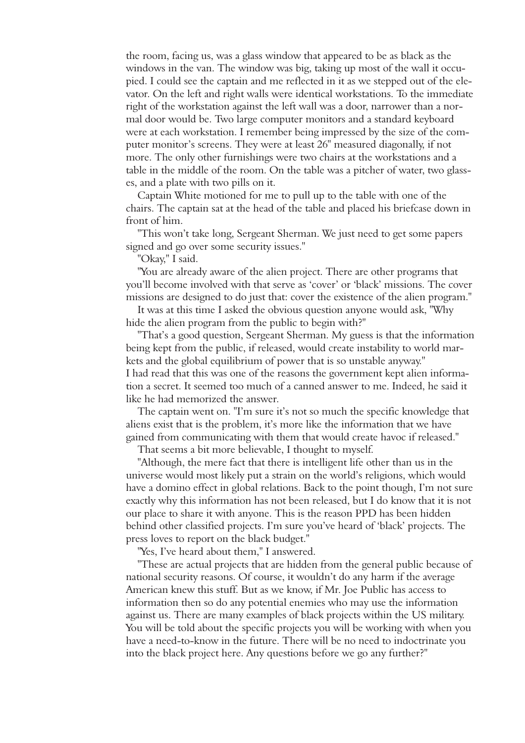the room, facing us, was a glass window that appeared to be as black as the windows in the van. The window was big, taking up most of the wall it occupied. I could see the captain and me reflected in it as we stepped out of the elevator. On the left and right walls were identical workstations. To the immediate right of the workstation against the left wall was a door, narrower than a normal door would be. Two large computer monitors and a standard keyboard were at each workstation. I remember being impressed by the size of the computer monitor's screens. They were at least 26" measured diagonally, if not more. The only other furnishings were two chairs at the workstations and a table in the middle of the room. On the table was a pitcher of water, two glasses, and a plate with two pills on it.

Captain White motioned for me to pull up to the table with one of the chairs. The captain sat at the head of the table and placed his briefcase down in front of him.

"This won't take long, Sergeant Sherman. We just need to get some papers signed and go over some security issues."

"Okay," I said.

"You are already aware of the alien project. There are other programs that you'll become involved with that serve as 'cover' or 'black' missions. The cover missions are designed to do just that: cover the existence of the alien program."

It was at this time I asked the obvious question anyone would ask, "Why hide the alien program from the public to begin with?"

"That's a good question, Sergeant Sherman. My guess is that the information being kept from the public, if released, would create instability to world markets and the global equilibrium of power that is so unstable anyway." I had read that this was one of the reasons the government kept alien information a secret. It seemed too much of a canned answer to me. Indeed, he said it like he had memorized the answer.

The captain went on. "I'm sure it's not so much the specific knowledge that aliens exist that is the problem, it's more like the information that we have gained from communicating with them that would create havoc if released."

That seems a bit more believable, I thought to myself.

"Although, the mere fact that there is intelligent life other than us in the universe would most likely put a strain on the world's religions, which would have a domino effect in global relations. Back to the point though, I'm not sure exactly why this information has not been released, but I do know that it is not our place to share it with anyone. This is the reason PPD has been hidden behind other classified projects. I'm sure you've heard of 'black' projects. The press loves to report on the black budget."

"Yes, Ive heard about them," I answered.

"These are actual projects that are hidden from the general public because of national security reasons. Of course, it wouldn't do any harm if the average American knew this stuff. But as we know, if Mr. Joe Public has access to information then so do any potential enemies who may use the information against us. There are many examples of black projects within the US military. You will be told about the specific projects you will be working with when you have a need-to-know in the future. There will be no need to indoctrinate you into the black project here. Any questions before we go any further?"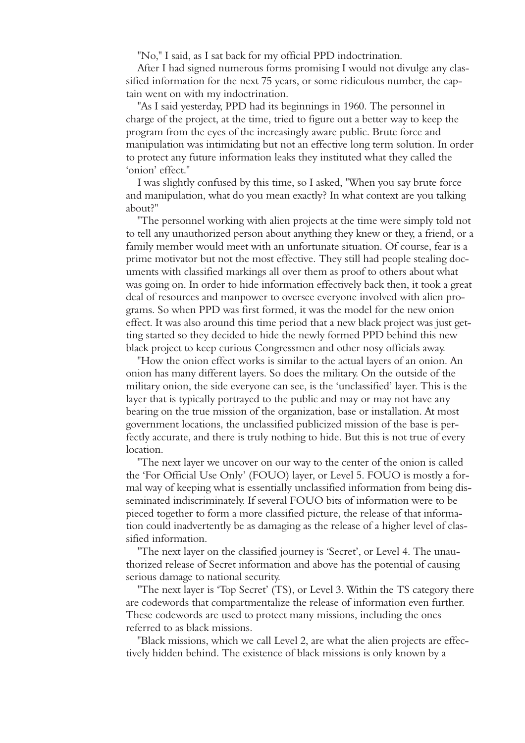"No," I said, as I sat back for my official PPD indoctrination.

After I had signed numerous forms promising I would not divulge any classified information for the next 75 years, or some ridiculous number, the captain went on with my indoctrination.

"As I said yesterday, PPD had its beginnings in 1960. The personnel in charge of the project, at the time, tried to figure out a better way to keep the program from the eyes of the increasingly aware public. Brute force and manipulation was intimidating but not an effective long term solution. In order to protect any future information leaks they instituted what they called the 'onion' effect."

I was slightly confused by this time, so I asked, "When you say brute force and manipulation, what do you mean exactly? In what context are you talking about?"

"The personnel working with alien projects at the time were simply told not to tell any unauthorized person about anything they knew or they, a friend, or a family member would meet with an unfortunate situation. Of course, fear is a prime motivator but not the most effective. They still had people stealing documents with classified markings all over them as proof to others about what was going on. In order to hide information effectively back then, it took a great deal of resources and manpower to oversee everyone involved with alien programs. So when PPD was first formed, it was the model for the new onion effect. It was also around this time period that a new black project was just getting started so they decided to hide the newly formed PPD behind this new black project to keep curious Congressmen and other nosy officials away.

"How the onion effect works is similar to the actual layers of an onion. An onion has many different layers. So does the military. On the outside of the military onion, the side everyone can see, is the 'unclassified' layer. This is the layer that is typically portrayed to the public and may or may not have any bearing on the true mission of the organization, base or installation. At most government locations, the unclassified publicized mission of the base is perfectly accurate, and there is truly nothing to hide. But this is not true of every location.

"The next layer we uncover on our way to the center of the onion is called the For Official Use Only (FOUO) layer, or Level 5. FOUO is mostly a formal way of keeping what is essentially unclassified information from being disseminated indiscriminately. If several FOUO bits of information were to be pieced together to form a more classified picture, the release of that information could inadvertently be as damaging as the release of a higher level of classified information.

"The next layer on the classified journey is 'Secret', or Level 4. The unauthorized release of Secret information and above has the potential of causing serious damage to national security.

"The next layer is 'Top Secret' (TS), or Level 3. Within the TS category there are codewords that compartmentalize the release of information even further. These codewords are used to protect many missions, including the ones referred to as black missions.

"Black missions, which we call Level 2, are what the alien projects are effectively hidden behind. The existence of black missions is only known by a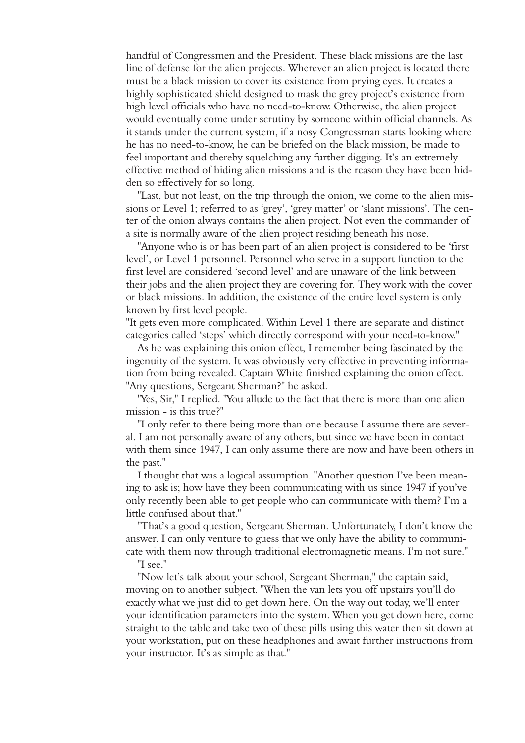handful of Congressmen and the President. These black missions are the last line of defense for the alien projects. Wherever an alien project is located there must be a black mission to cover its existence from prying eyes. It creates a highly sophisticated shield designed to mask the grey project's existence from high level officials who have no need-to-know. Otherwise, the alien project would eventually come under scrutiny by someone within official channels. As it stands under the current system, if a nosy Congressman starts looking where he has no need-to-know, he can be briefed on the black mission, be made to feel important and thereby squelching any further digging. It's an extremely effective method of hiding alien missions and is the reason they have been hidden so effectively for so long.

"Last, but not least, on the trip through the onion, we come to the alien missions or Level 1; referred to as 'grey', 'grey matter' or 'slant missions'. The center of the onion always contains the alien project. Not even the commander of a site is normally aware of the alien project residing beneath his nose.

"Anyone who is or has been part of an alien project is considered to be first level, or Level 1 personnel. Personnel who serve in a support function to the first level are considered 'second level' and are unaware of the link between their jobs and the alien project they are covering for. They work with the cover or black missions. In addition, the existence of the entire level system is only known by first level people.

"It gets even more complicated. Within Level 1 there are separate and distinct categories called 'steps' which directly correspond with your need-to-know."

As he was explaining this onion effect, I remember being fascinated by the ingenuity of the system. It was obviously very effective in preventing information from being revealed. Captain White finished explaining the onion effect. "Any questions, Sergeant Sherman?" he asked.

"Yes, Sir," I replied. "You allude to the fact that there is more than one alien mission - is this true?"

"I only refer to there being more than one because I assume there are several. I am not personally aware of any others, but since we have been in contact with them since 1947, I can only assume there are now and have been others in the past."

I thought that was a logical assumption. "Another question Ive been meaning to ask is; how have they been communicating with us since 1947 if you've only recently been able to get people who can communicate with them? Im a little confused about that."

"That's a good question, Sergeant Sherman. Unfortunately, I don't know the answer. I can only venture to guess that we only have the ability to communicate with them now through traditional electromagnetic means. Im not sure." "I see."

"Now let's talk about your school, Sergeant Sherman," the captain said, moving on to another subject. "When the van lets you off upstairs you'll do exactly what we just did to get down here. On the way out today, we'll enter your identification parameters into the system. When you get down here, come straight to the table and take two of these pills using this water then sit down at your workstation, put on these headphones and await further instructions from your instructor. It's as simple as that."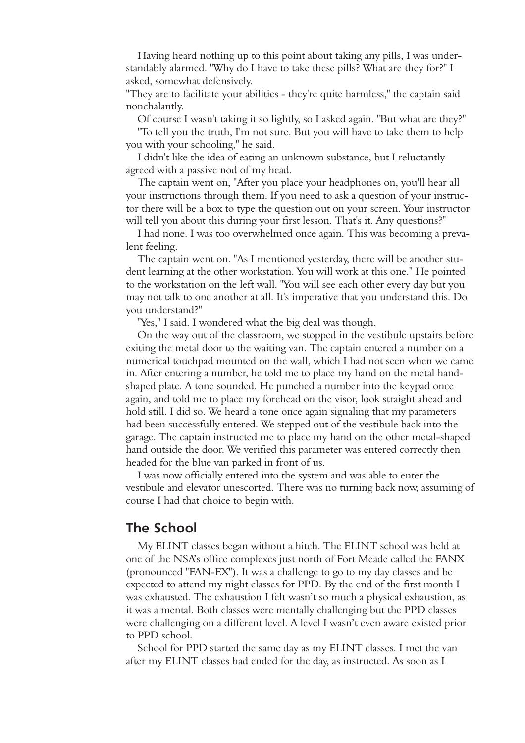Having heard nothing up to this point about taking any pills, I was understandably alarmed. "Why do I have to take these pills? What are they for?" I asked, somewhat defensively.

"They are to facilitate your abilities - they're quite harmless," the captain said nonchalantly.

Of course I wasn't taking it so lightly, so I asked again. "But what are they?"

"To tell you the truth, I'm not sure. But you will have to take them to help you with your schooling," he said.

I didn't like the idea of eating an unknown substance, but I reluctantly agreed with a passive nod of my head.

The captain went on, "After you place your headphones on, you'll hear all your instructions through them. If you need to ask a question of your instructor there will be a box to type the question out on your screen. Your instructor will tell you about this during your first lesson. That's it. Any questions?"

I had none. I was too overwhelmed once again. This was becoming a prevalent feeling.

The captain went on. "As I mentioned yesterday, there will be another student learning at the other workstation. You will work at this one." He pointed to the workstation on the left wall. "You will see each other every day but you may not talk to one another at all. It's imperative that you understand this. Do you understand?"

"Yes," I said. I wondered what the big deal was though.

On the way out of the classroom, we stopped in the vestibule upstairs before exiting the metal door to the waiting van. The captain entered a number on a numerical touchpad mounted on the wall, which I had not seen when we came in. After entering a number, he told me to place my hand on the metal handshaped plate. A tone sounded. He punched a number into the keypad once again, and told me to place my forehead on the visor, look straight ahead and hold still. I did so. We heard a tone once again signaling that my parameters had been successfully entered. We stepped out of the vestibule back into the garage. The captain instructed me to place my hand on the other metal-shaped hand outside the door. We verified this parameter was entered correctly then headed for the blue van parked in front of us.

I was now officially entered into the system and was able to enter the vestibule and elevator unescorted. There was no turning back now, assuming of course I had that choice to begin with.

#### The School

My ELINT classes began without a hitch. The ELINT school was held at one of the NSAs office complexes just north of Fort Meade called the FANX (pronounced "FAN-EX"). It was a challenge to go to my day classes and be expected to attend my night classes for PPD. By the end of the first month I was exhausted. The exhaustion I felt wasn't so much a physical exhaustion, as it was a mental. Both classes were mentally challenging but the PPD classes were challenging on a different level. A level I wasn't even aware existed prior to PPD school.

School for PPD started the same day as my ELINT classes. I met the van after my ELINT classes had ended for the day, as instructed. As soon as I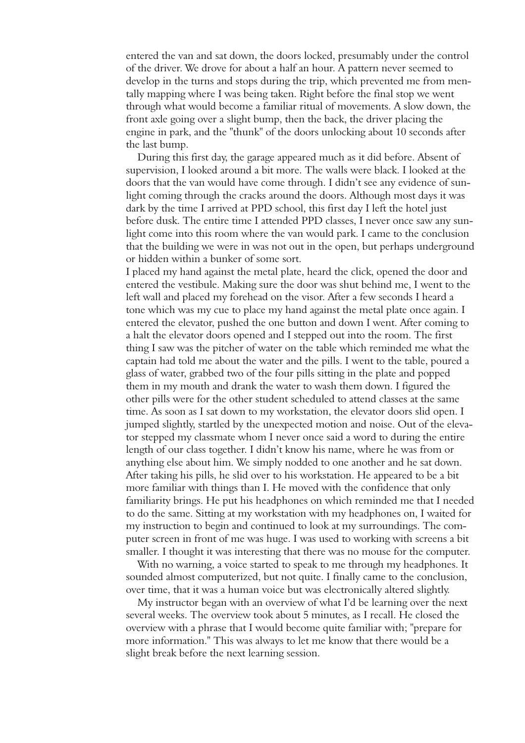entered the van and sat down, the doors locked, presumably under the control of the driver. We drove for about a half an hour. A pattern never seemed to develop in the turns and stops during the trip, which prevented me from mentally mapping where I was being taken. Right before the final stop we went through what would become a familiar ritual of movements. A slow down, the front axle going over a slight bump, then the back, the driver placing the engine in park, and the "thunk" of the doors unlocking about 10 seconds after the last bump.

During this first day, the garage appeared much as it did before. Absent of supervision, I looked around a bit more. The walls were black. I looked at the doors that the van would have come through. I didn't see any evidence of sunlight coming through the cracks around the doors. Although most days it was dark by the time I arrived at PPD school, this first day I left the hotel just before dusk. The entire time I attended PPD classes, I never once saw any sunlight come into this room where the van would park. I came to the conclusion that the building we were in was not out in the open, but perhaps underground or hidden within a bunker of some sort.

I placed my hand against the metal plate, heard the click, opened the door and entered the vestibule. Making sure the door was shut behind me, I went to the left wall and placed my forehead on the visor. After a few seconds I heard a tone which was my cue to place my hand against the metal plate once again. I entered the elevator, pushed the one button and down I went. After coming to a halt the elevator doors opened and I stepped out into the room. The first thing I saw was the pitcher of water on the table which reminded me what the captain had told me about the water and the pills. I went to the table, poured a glass of water, grabbed two of the four pills sitting in the plate and popped them in my mouth and drank the water to wash them down. I figured the other pills were for the other student scheduled to attend classes at the same time. As soon as I sat down to my workstation, the elevator doors slid open. I jumped slightly, startled by the unexpected motion and noise. Out of the elevator stepped my classmate whom I never once said a word to during the entire length of our class together. I didn't know his name, where he was from or anything else about him. We simply nodded to one another and he sat down. After taking his pills, he slid over to his workstation. He appeared to be a bit more familiar with things than I. He moved with the confidence that only familiarity brings. He put his headphones on which reminded me that I needed to do the same. Sitting at my workstation with my headphones on, I waited for my instruction to begin and continued to look at my surroundings. The computer screen in front of me was huge. I was used to working with screens a bit smaller. I thought it was interesting that there was no mouse for the computer.

With no warning, a voice started to speak to me through my headphones. It sounded almost computerized, but not quite. I finally came to the conclusion, over time, that it was a human voice but was electronically altered slightly.

My instructor began with an overview of what I'd be learning over the next several weeks. The overview took about 5 minutes, as I recall. He closed the overview with a phrase that I would become quite familiar with; "prepare for more information." This was always to let me know that there would be a slight break before the next learning session.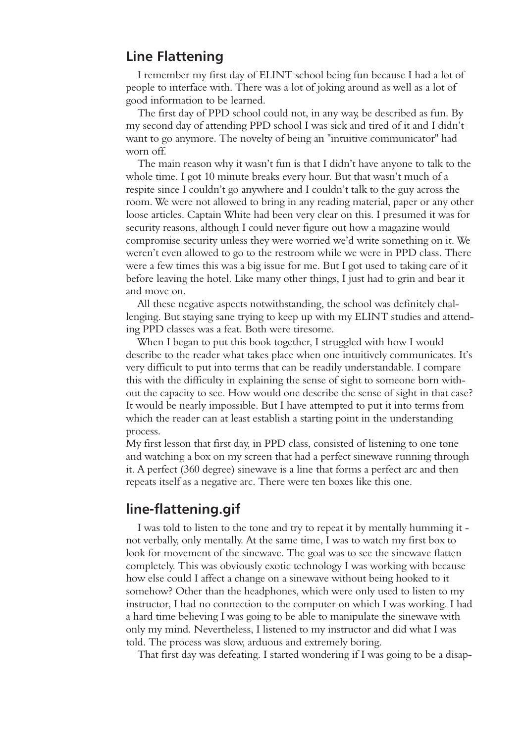## Line Flattening

I remember my first day of ELINT school being fun because I had a lot of people to interface with. There was a lot of joking around as well as a lot of good information to be learned.

The first day of PPD school could not, in any way, be described as fun. By my second day of attending PPD school I was sick and tired of it and I didn't want to go anymore. The novelty of being an "intuitive communicator" had worn off.

The main reason why it wasn't fun is that I didn't have anyone to talk to the whole time. I got 10 minute breaks every hour. But that wasn't much of a respite since I couldn't go anywhere and I couldn't talk to the guy across the room. We were not allowed to bring in any reading material, paper or any other loose articles. Captain White had been very clear on this. I presumed it was for security reasons, although I could never figure out how a magazine would compromise security unless they were worried we'd write something on it. We weren't even allowed to go to the restroom while we were in PPD class. There were a few times this was a big issue for me. But I got used to taking care of it before leaving the hotel. Like many other things, I just had to grin and bear it and move on.

All these negative aspects notwithstanding, the school was definitely challenging. But staying sane trying to keep up with my ELINT studies and attending PPD classes was a feat. Both were tiresome.

When I began to put this book together, I struggled with how I would describe to the reader what takes place when one intuitively communicates. It's very difficult to put into terms that can be readily understandable. I compare this with the difficulty in explaining the sense of sight to someone born without the capacity to see. How would one describe the sense of sight in that case? It would be nearly impossible. But I have attempted to put it into terms from which the reader can at least establish a starting point in the understanding process.

My first lesson that first day, in PPD class, consisted of listening to one tone and watching a box on my screen that had a perfect sinewave running through it. A perfect (360 degree) sinewave is a line that forms a perfect arc and then repeats itself as a negative arc. There were ten boxes like this one.

## line-flattening.gif

I was told to listen to the tone and try to repeat it by mentally humming it not verbally, only mentally. At the same time, I was to watch my first box to look for movement of the sinewave. The goal was to see the sinewave flatten completely. This was obviously exotic technology I was working with because how else could I affect a change on a sinewave without being hooked to it somehow? Other than the headphones, which were only used to listen to my instructor, I had no connection to the computer on which I was working. I had a hard time believing I was going to be able to manipulate the sinewave with only my mind. Nevertheless, I listened to my instructor and did what I was told. The process was slow, arduous and extremely boring.

That first day was defeating. I started wondering if I was going to be a disap-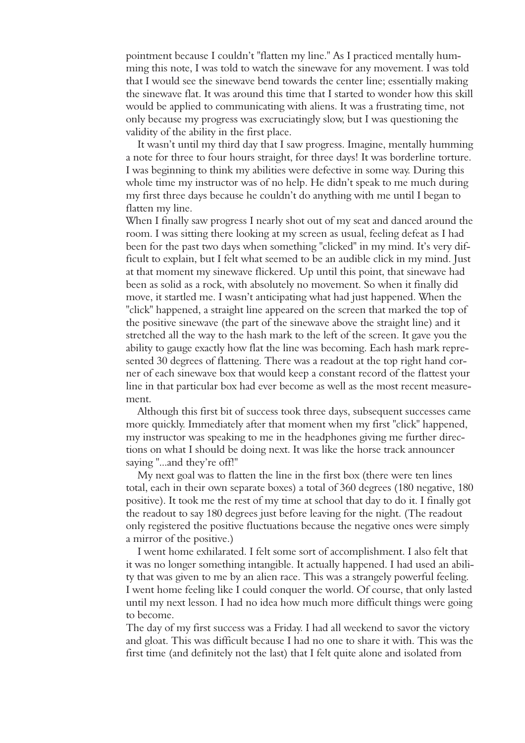pointment because I couldn't "flatten my line." As I practiced mentally humming this note, I was told to watch the sinewave for any movement. I was told that I would see the sinewave bend towards the center line; essentially making the sinewave flat. It was around this time that I started to wonder how this skill would be applied to communicating with aliens. It was a frustrating time, not only because my progress was excruciatingly slow, but I was questioning the validity of the ability in the first place.

It wasn't until my third day that I saw progress. Imagine, mentally humming a note for three to four hours straight, for three days! It was borderline torture. I was beginning to think my abilities were defective in some way. During this whole time my instructor was of no help. He didn't speak to me much during my first three days because he couldn't do anything with me until I began to flatten my line.

When I finally saw progress I nearly shot out of my seat and danced around the room. I was sitting there looking at my screen as usual, feeling defeat as I had been for the past two days when something "clicked" in my mind. It's very difficult to explain, but I felt what seemed to be an audible click in my mind. Just at that moment my sinewave flickered. Up until this point, that sinewave had been as solid as a rock, with absolutely no movement. So when it finally did move, it startled me. I wasn't anticipating what had just happened. When the "click" happened, a straight line appeared on the screen that marked the top of the positive sinewave (the part of the sinewave above the straight line) and it stretched all the way to the hash mark to the left of the screen. It gave you the ability to gauge exactly how flat the line was becoming. Each hash mark represented 30 degrees of flattening. There was a readout at the top right hand corner of each sinewave box that would keep a constant record of the flattest your line in that particular box had ever become as well as the most recent measurement.

Although this first bit of success took three days, subsequent successes came more quickly. Immediately after that moment when my first "click" happened, my instructor was speaking to me in the headphones giving me further directions on what I should be doing next. It was like the horse track announcer saying "...and they're off!"

My next goal was to flatten the line in the first box (there were ten lines total, each in their own separate boxes) a total of 360 degrees (180 negative, 180 positive). It took me the rest of my time at school that day to do it. I finally got the readout to say 180 degrees just before leaving for the night. (The readout only registered the positive fluctuations because the negative ones were simply a mirror of the positive.)

I went home exhilarated. I felt some sort of accomplishment. I also felt that it was no longer something intangible. It actually happened. I had used an ability that was given to me by an alien race. This was a strangely powerful feeling. I went home feeling like I could conquer the world. Of course, that only lasted until my next lesson. I had no idea how much more difficult things were going to become.

The day of my first success was a Friday. I had all weekend to savor the victory and gloat. This was difficult because I had no one to share it with. This was the first time (and definitely not the last) that I felt quite alone and isolated from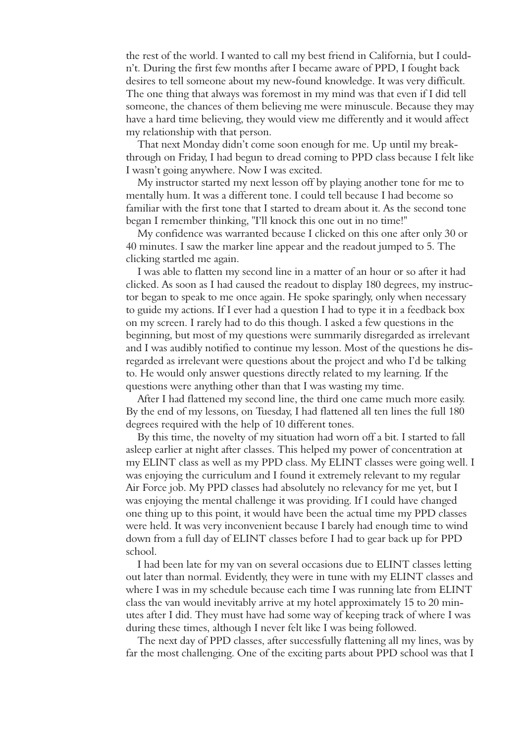the rest of the world. I wanted to call my best friend in California, but I couldn't. During the first few months after I became aware of PPD, I fought back desires to tell someone about my new-found knowledge. It was very difficult. The one thing that always was foremost in my mind was that even if I did tell someone, the chances of them believing me were minuscule. Because they may have a hard time believing, they would view me differently and it would affect my relationship with that person.

That next Monday didn't come soon enough for me. Up until my breakthrough on Friday, I had begun to dread coming to PPD class because I felt like I wasn't going anywhere. Now I was excited.

My instructor started my next lesson off by playing another tone for me to mentally hum. It was a different tone. I could tell because I had become so familiar with the first tone that I started to dream about it. As the second tone began I remember thinking, "I'll knock this one out in no time!"

My confidence was warranted because I clicked on this one after only 30 or 40 minutes. I saw the marker line appear and the readout jumped to 5. The clicking startled me again.

I was able to flatten my second line in a matter of an hour or so after it had clicked. As soon as I had caused the readout to display 180 degrees, my instructor began to speak to me once again. He spoke sparingly, only when necessary to guide my actions. If I ever had a question I had to type it in a feedback box on my screen. I rarely had to do this though. I asked a few questions in the beginning, but most of my questions were summarily disregarded as irrelevant and I was audibly notified to continue my lesson. Most of the questions he disregarded as irrelevant were questions about the project and who I'd be talking to. He would only answer questions directly related to my learning. If the questions were anything other than that I was wasting my time.

After I had flattened my second line, the third one came much more easily. By the end of my lessons, on Tuesday, I had flattened all ten lines the full 180 degrees required with the help of 10 different tones.

By this time, the novelty of my situation had worn off a bit. I started to fall asleep earlier at night after classes. This helped my power of concentration at my ELINT class as well as my PPD class. My ELINT classes were going well. I was enjoying the curriculum and I found it extremely relevant to my regular Air Force job. My PPD classes had absolutely no relevancy for me yet, but I was enjoying the mental challenge it was providing. If I could have changed one thing up to this point, it would have been the actual time my PPD classes were held. It was very inconvenient because I barely had enough time to wind down from a full day of ELINT classes before I had to gear back up for PPD school.

I had been late for my van on several occasions due to ELINT classes letting out later than normal. Evidently, they were in tune with my ELINT classes and where I was in my schedule because each time I was running late from ELINT class the van would inevitably arrive at my hotel approximately 15 to 20 minutes after I did. They must have had some way of keeping track of where I was during these times, although I never felt like I was being followed.

The next day of PPD classes, after successfully flattening all my lines, was by far the most challenging. One of the exciting parts about PPD school was that I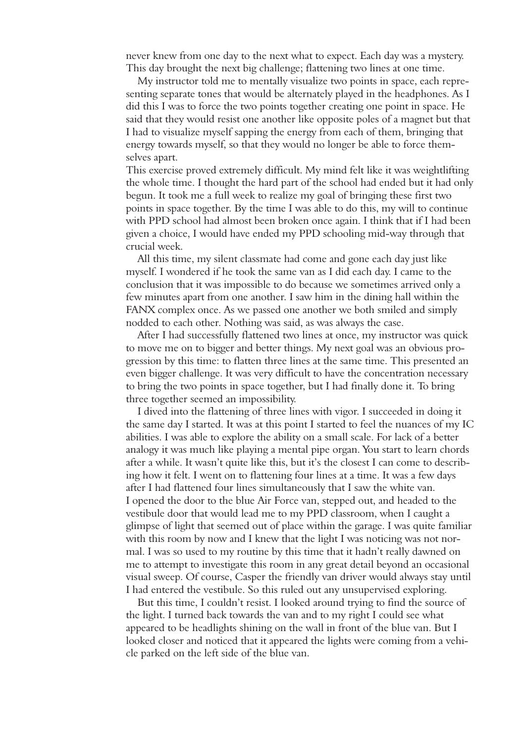never knew from one day to the next what to expect. Each day was a mystery. This day brought the next big challenge; flattening two lines at one time.

My instructor told me to mentally visualize two points in space, each representing separate tones that would be alternately played in the headphones. As I did this I was to force the two points together creating one point in space. He said that they would resist one another like opposite poles of a magnet but that I had to visualize myself sapping the energy from each of them, bringing that energy towards myself, so that they would no longer be able to force themselves apart.

This exercise proved extremely difficult. My mind felt like it was weightlifting the whole time. I thought the hard part of the school had ended but it had only begun. It took me a full week to realize my goal of bringing these first two points in space together. By the time I was able to do this, my will to continue with PPD school had almost been broken once again. I think that if I had been given a choice, I would have ended my PPD schooling mid-way through that crucial week.

All this time, my silent classmate had come and gone each day just like myself. I wondered if he took the same van as I did each day. I came to the conclusion that it was impossible to do because we sometimes arrived only a few minutes apart from one another. I saw him in the dining hall within the FANX complex once. As we passed one another we both smiled and simply nodded to each other. Nothing was said, as was always the case.

After I had successfully flattened two lines at once, my instructor was quick to move me on to bigger and better things. My next goal was an obvious progression by this time: to flatten three lines at the same time. This presented an even bigger challenge. It was very difficult to have the concentration necessary to bring the two points in space together, but I had finally done it. To bring three together seemed an impossibility.

I dived into the flattening of three lines with vigor. I succeeded in doing it the same day I started. It was at this point I started to feel the nuances of my IC abilities. I was able to explore the ability on a small scale. For lack of a better analogy it was much like playing a mental pipe organ. You start to learn chords after a while. It wasn't quite like this, but it's the closest I can come to describing how it felt. I went on to flattening four lines at a time. It was a few days after I had flattened four lines simultaneously that I saw the white van. I opened the door to the blue Air Force van, stepped out, and headed to the vestibule door that would lead me to my PPD classroom, when I caught a glimpse of light that seemed out of place within the garage. I was quite familiar with this room by now and I knew that the light I was noticing was not normal. I was so used to my routine by this time that it hadn't really dawned on me to attempt to investigate this room in any great detail beyond an occasional visual sweep. Of course, Casper the friendly van driver would always stay until I had entered the vestibule. So this ruled out any unsupervised exploring.

But this time, I couldn't resist. I looked around trying to find the source of the light. I turned back towards the van and to my right I could see what appeared to be headlights shining on the wall in front of the blue van. But I looked closer and noticed that it appeared the lights were coming from a vehicle parked on the left side of the blue van.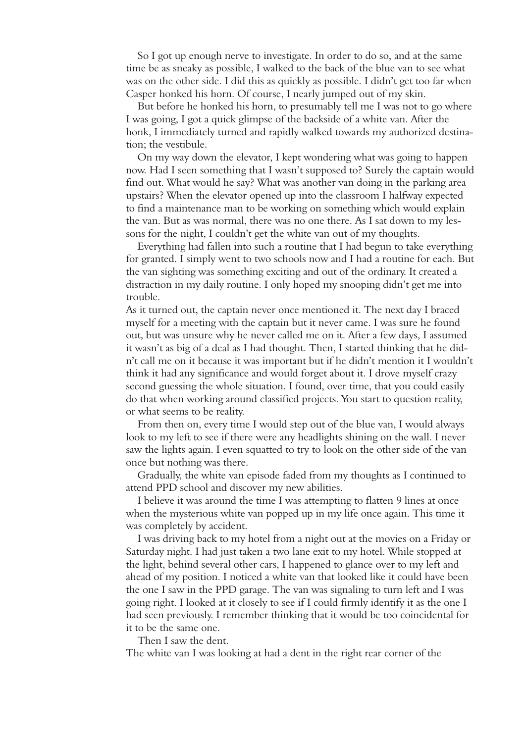So I got up enough nerve to investigate. In order to do so, and at the same time be as sneaky as possible, I walked to the back of the blue van to see what was on the other side. I did this as quickly as possible. I didn't get too far when Casper honked his horn. Of course, I nearly jumped out of my skin.

But before he honked his horn, to presumably tell me I was not to go where I was going, I got a quick glimpse of the backside of a white van. After the honk, I immediately turned and rapidly walked towards my authorized destination; the vestibule.

On my way down the elevator, I kept wondering what was going to happen now. Had I seen something that I wasn't supposed to? Surely the captain would find out. What would he say? What was another van doing in the parking area upstairs? When the elevator opened up into the classroom I halfway expected to find a maintenance man to be working on something which would explain the van. But as was normal, there was no one there. As I sat down to my lessons for the night, I couldn't get the white van out of my thoughts.

Everything had fallen into such a routine that I had begun to take everything for granted. I simply went to two schools now and I had a routine for each. But the van sighting was something exciting and out of the ordinary. It created a distraction in my daily routine. I only hoped my snooping didn't get me into trouble.

As it turned out, the captain never once mentioned it. The next day I braced myself for a meeting with the captain but it never came. I was sure he found out, but was unsure why he never called me on it. After a few days, I assumed it wasn't as big of a deal as I had thought. Then, I started thinking that he didn't call me on it because it was important but if he didn't mention it I wouldn't think it had any significance and would forget about it. I drove myself crazy second guessing the whole situation. I found, over time, that you could easily do that when working around classified projects. You start to question reality, or what seems to be reality.

From then on, every time I would step out of the blue van, I would always look to my left to see if there were any headlights shining on the wall. I never saw the lights again. I even squatted to try to look on the other side of the van once but nothing was there.

Gradually, the white van episode faded from my thoughts as I continued to attend PPD school and discover my new abilities.

I believe it was around the time I was attempting to flatten 9 lines at once when the mysterious white van popped up in my life once again. This time it was completely by accident.

I was driving back to my hotel from a night out at the movies on a Friday or Saturday night. I had just taken a two lane exit to my hotel. While stopped at the light, behind several other cars, I happened to glance over to my left and ahead of my position. I noticed a white van that looked like it could have been the one I saw in the PPD garage. The van was signaling to turn left and I was going right. I looked at it closely to see if I could firmly identify it as the one I had seen previously. I remember thinking that it would be too coincidental for it to be the same one.

Then I saw the dent.

The white van I was looking at had a dent in the right rear corner of the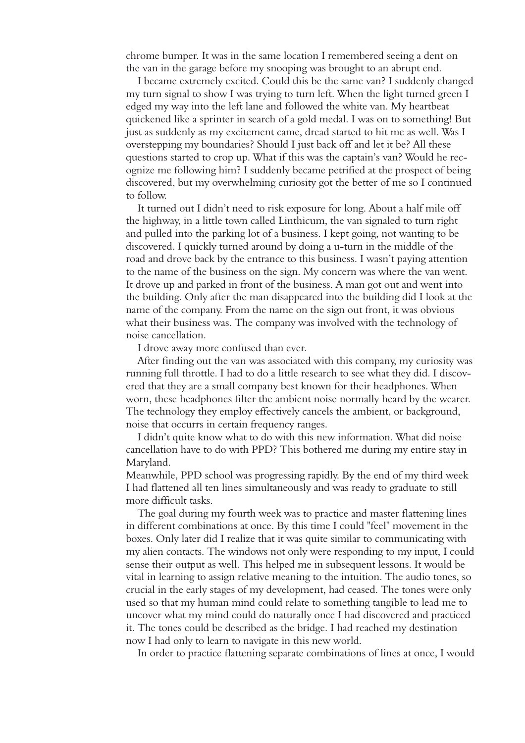chrome bumper. It was in the same location I remembered seeing a dent on the van in the garage before my snooping was brought to an abrupt end.

I became extremely excited. Could this be the same van? I suddenly changed my turn signal to show I was trying to turn left. When the light turned green I edged my way into the left lane and followed the white van. My heartbeat quickened like a sprinter in search of a gold medal. I was on to something! But just as suddenly as my excitement came, dread started to hit me as well. Was I overstepping my boundaries? Should I just back off and let it be? All these questions started to crop up. What if this was the captain's van? Would he recognize me following him? I suddenly became petrified at the prospect of being discovered, but my overwhelming curiosity got the better of me so I continued to follow.

It turned out I didn't need to risk exposure for long. About a half mile off the highway, in a little town called Linthicum, the van signaled to turn right and pulled into the parking lot of a business. I kept going, not wanting to be discovered. I quickly turned around by doing a u-turn in the middle of the road and drove back by the entrance to this business. I wasn't paying attention to the name of the business on the sign. My concern was where the van went. It drove up and parked in front of the business. A man got out and went into the building. Only after the man disappeared into the building did I look at the name of the company. From the name on the sign out front, it was obvious what their business was. The company was involved with the technology of noise cancellation.

I drove away more confused than ever.

After finding out the van was associated with this company, my curiosity was running full throttle. I had to do a little research to see what they did. I discovered that they are a small company best known for their headphones. When worn, these headphones filter the ambient noise normally heard by the wearer. The technology they employ effectively cancels the ambient, or background, noise that occurrs in certain frequency ranges.

I didn't quite know what to do with this new information. What did noise cancellation have to do with PPD? This bothered me during my entire stay in Maryland.

Meanwhile, PPD school was progressing rapidly. By the end of my third week I had flattened all ten lines simultaneously and was ready to graduate to still more difficult tasks.

The goal during my fourth week was to practice and master flattening lines in different combinations at once. By this time I could "feel" movement in the boxes. Only later did I realize that it was quite similar to communicating with my alien contacts. The windows not only were responding to my input, I could sense their output as well. This helped me in subsequent lessons. It would be vital in learning to assign relative meaning to the intuition. The audio tones, so crucial in the early stages of my development, had ceased. The tones were only used so that my human mind could relate to something tangible to lead me to uncover what my mind could do naturally once I had discovered and practiced it. The tones could be described as the bridge. I had reached my destination now I had only to learn to navigate in this new world.

In order to practice flattening separate combinations of lines at once, I would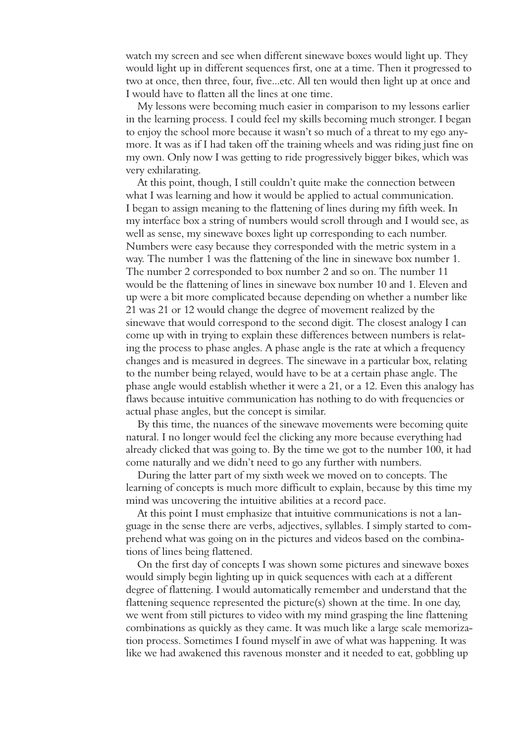watch my screen and see when different sinewave boxes would light up. They would light up in different sequences first, one at a time. Then it progressed to two at once, then three, four, five...etc. All ten would then light up at once and I would have to flatten all the lines at one time.

My lessons were becoming much easier in comparison to my lessons earlier in the learning process. I could feel my skills becoming much stronger. I began to enjoy the school more because it wasn't so much of a threat to my ego anymore. It was as if I had taken off the training wheels and was riding just fine on my own. Only now I was getting to ride progressively bigger bikes, which was very exhilarating.

At this point, though, I still couldn't quite make the connection between what I was learning and how it would be applied to actual communication. I began to assign meaning to the flattening of lines during my fifth week. In my interface box a string of numbers would scroll through and I would see, as well as sense, my sinewave boxes light up corresponding to each number. Numbers were easy because they corresponded with the metric system in a way. The number 1 was the flattening of the line in sinewave box number 1. The number 2 corresponded to box number 2 and so on. The number 11 would be the flattening of lines in sinewave box number 10 and 1. Eleven and up were a bit more complicated because depending on whether a number like 21 was 21 or 12 would change the degree of movement realized by the sinewave that would correspond to the second digit. The closest analogy I can come up with in trying to explain these differences between numbers is relating the process to phase angles. A phase angle is the rate at which a frequency changes and is measured in degrees. The sinewave in a particular box, relating to the number being relayed, would have to be at a certain phase angle. The phase angle would establish whether it were a 21, or a 12. Even this analogy has flaws because intuitive communication has nothing to do with frequencies or actual phase angles, but the concept is similar.

By this time, the nuances of the sinewave movements were becoming quite natural. I no longer would feel the clicking any more because everything had already clicked that was going to. By the time we got to the number 100, it had come naturally and we didn't need to go any further with numbers.

During the latter part of my sixth week we moved on to concepts. The learning of concepts is much more difficult to explain, because by this time my mind was uncovering the intuitive abilities at a record pace.

At this point I must emphasize that intuitive communications is not a language in the sense there are verbs, adjectives, syllables. I simply started to comprehend what was going on in the pictures and videos based on the combinations of lines being flattened.

On the first day of concepts I was shown some pictures and sinewave boxes would simply begin lighting up in quick sequences with each at a different degree of flattening. I would automatically remember and understand that the flattening sequence represented the picture(s) shown at the time. In one day, we went from still pictures to video with my mind grasping the line flattening combinations as quickly as they came. It was much like a large scale memorization process. Sometimes I found myself in awe of what was happening. It was like we had awakened this ravenous monster and it needed to eat, gobbling up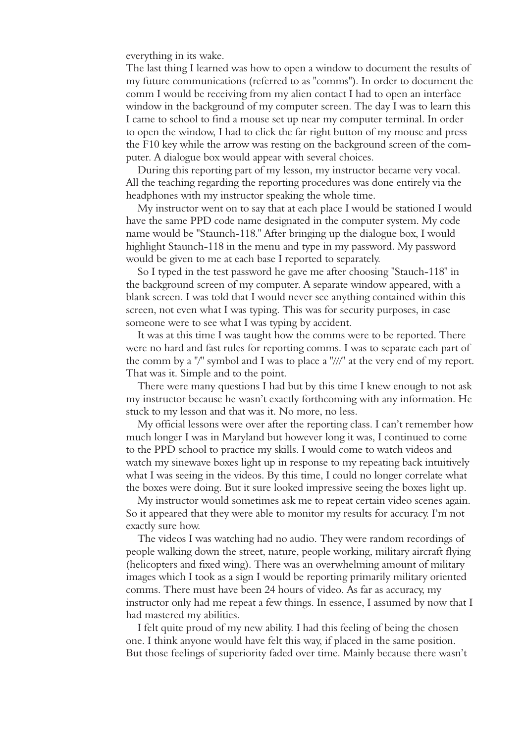everything in its wake.

The last thing I learned was how to open a window to document the results of my future communications (referred to as "comms"). In order to document the comm I would be receiving from my alien contact I had to open an interface window in the background of my computer screen. The day I was to learn this I came to school to find a mouse set up near my computer terminal. In order to open the window, I had to click the far right button of my mouse and press the F10 key while the arrow was resting on the background screen of the computer. A dialogue box would appear with several choices.

During this reporting part of my lesson, my instructor became very vocal. All the teaching regarding the reporting procedures was done entirely via the headphones with my instructor speaking the whole time.

My instructor went on to say that at each place I would be stationed I would have the same PPD code name designated in the computer system. My code name would be "Staunch-118." After bringing up the dialogue box, I would highlight Staunch-118 in the menu and type in my password. My password would be given to me at each base I reported to separately.

So I typed in the test password he gave me after choosing "Stauch-118" in the background screen of my computer. A separate window appeared, with a blank screen. I was told that I would never see anything contained within this screen, not even what I was typing. This was for security purposes, in case someone were to see what I was typing by accident.

It was at this time I was taught how the comms were to be reported. There were no hard and fast rules for reporting comms. I was to separate each part of the comm by a "/" symbol and I was to place a "///" at the very end of my report. That was it. Simple and to the point.

There were many questions I had but by this time I knew enough to not ask my instructor because he wasn't exactly forthcoming with any information. He stuck to my lesson and that was it. No more, no less.

My official lessons were over after the reporting class. I can't remember how much longer I was in Maryland but however long it was, I continued to come to the PPD school to practice my skills. I would come to watch videos and watch my sinewave boxes light up in response to my repeating back intuitively what I was seeing in the videos. By this time, I could no longer correlate what the boxes were doing. But it sure looked impressive seeing the boxes light up.

My instructor would sometimes ask me to repeat certain video scenes again. So it appeared that they were able to monitor my results for accuracy. Im not exactly sure how.

The videos I was watching had no audio. They were random recordings of people walking down the street, nature, people working, military aircraft flying (helicopters and fixed wing). There was an overwhelming amount of military images which I took as a sign I would be reporting primarily military oriented comms. There must have been 24 hours of video. As far as accuracy, my instructor only had me repeat a few things. In essence, I assumed by now that I had mastered my abilities.

I felt quite proud of my new ability. I had this feeling of being the chosen one. I think anyone would have felt this way, if placed in the same position. But those feelings of superiority faded over time. Mainly because there wasn't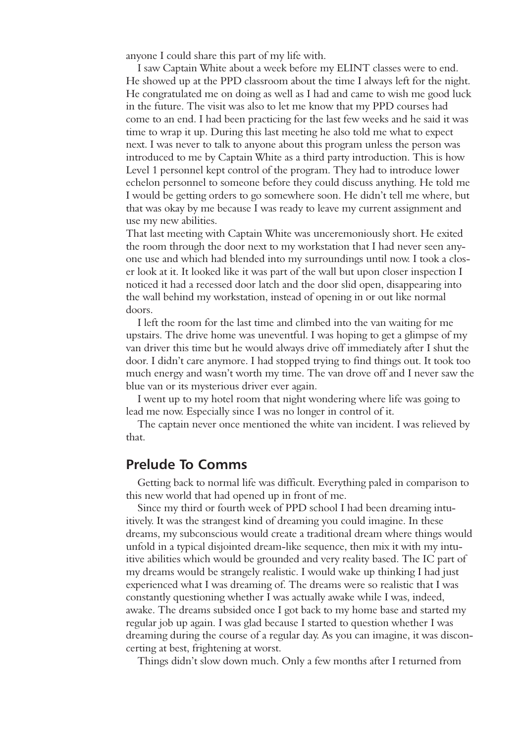anyone I could share this part of my life with.

I saw Captain White about a week before my ELINT classes were to end. He showed up at the PPD classroom about the time I always left for the night. He congratulated me on doing as well as I had and came to wish me good luck in the future. The visit was also to let me know that my PPD courses had come to an end. I had been practicing for the last few weeks and he said it was time to wrap it up. During this last meeting he also told me what to expect next. I was never to talk to anyone about this program unless the person was introduced to me by Captain White as a third party introduction. This is how Level 1 personnel kept control of the program. They had to introduce lower echelon personnel to someone before they could discuss anything. He told me I would be getting orders to go somewhere soon. He didn't tell me where, but that was okay by me because I was ready to leave my current assignment and use my new abilities.

That last meeting with Captain White was unceremoniously short. He exited the room through the door next to my workstation that I had never seen anyone use and which had blended into my surroundings until now. I took a closer look at it. It looked like it was part of the wall but upon closer inspection I noticed it had a recessed door latch and the door slid open, disappearing into the wall behind my workstation, instead of opening in or out like normal doors.

I left the room for the last time and climbed into the van waiting for me upstairs. The drive home was uneventful. I was hoping to get a glimpse of my van driver this time but he would always drive off immediately after I shut the door. I didn't care anymore. I had stopped trying to find things out. It took too much energy and wasn't worth my time. The van drove off and I never saw the blue van or its mysterious driver ever again.

I went up to my hotel room that night wondering where life was going to lead me now. Especially since I was no longer in control of it.

The captain never once mentioned the white van incident. I was relieved by that.

#### Prelude To Comms

Getting back to normal life was difficult. Everything paled in comparison to this new world that had opened up in front of me.

Since my third or fourth week of PPD school I had been dreaming intuitively. It was the strangest kind of dreaming you could imagine. In these dreams, my subconscious would create a traditional dream where things would unfold in a typical disjointed dream-like sequence, then mix it with my intuitive abilities which would be grounded and very reality based. The IC part of my dreams would be strangely realistic. I would wake up thinking I had just experienced what I was dreaming of. The dreams were so realistic that I was constantly questioning whether I was actually awake while I was, indeed, awake. The dreams subsided once I got back to my home base and started my regular job up again. I was glad because I started to question whether I was dreaming during the course of a regular day. As you can imagine, it was disconcerting at best, frightening at worst.

Things didn't slow down much. Only a few months after I returned from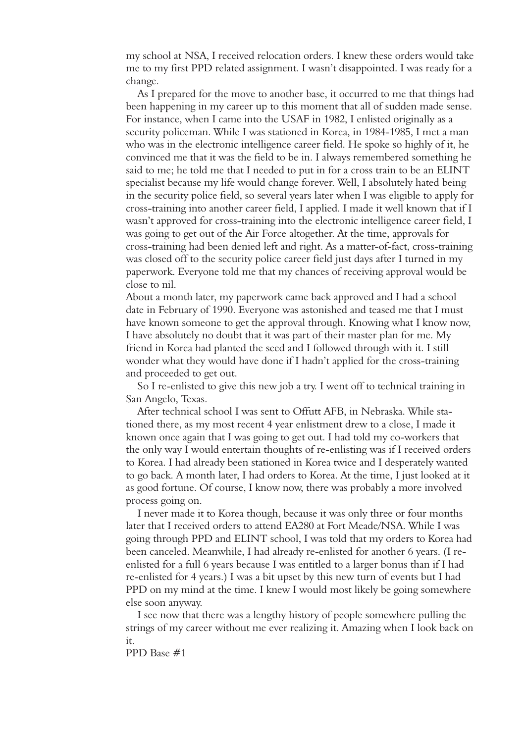my school at NSA, I received relocation orders. I knew these orders would take me to my first PPD related assignment. I wasn't disappointed. I was ready for a change.

As I prepared for the move to another base, it occurred to me that things had been happening in my career up to this moment that all of sudden made sense. For instance, when I came into the USAF in 1982, I enlisted originally as a security policeman. While I was stationed in Korea, in 1984-1985, I met a man who was in the electronic intelligence career field. He spoke so highly of it, he convinced me that it was the field to be in. I always remembered something he said to me; he told me that I needed to put in for a cross train to be an ELINT specialist because my life would change forever. Well, I absolutely hated being in the security police field, so several years later when I was eligible to apply for cross-training into another career field, I applied. I made it well known that if I wasn't approved for cross-training into the electronic intelligence career field, I was going to get out of the Air Force altogether. At the time, approvals for cross-training had been denied left and right. As a matter-of-fact, cross-training was closed off to the security police career field just days after I turned in my paperwork. Everyone told me that my chances of receiving approval would be close to nil.

About a month later, my paperwork came back approved and I had a school date in February of 1990. Everyone was astonished and teased me that I must have known someone to get the approval through. Knowing what I know now, I have absolutely no doubt that it was part of their master plan for me. My friend in Korea had planted the seed and I followed through with it. I still wonder what they would have done if I hadn't applied for the cross-training and proceeded to get out.

So I re-enlisted to give this new job a try. I went off to technical training in San Angelo, Texas.

After technical school I was sent to Offutt AFB, in Nebraska. While stationed there, as my most recent 4 year enlistment drew to a close, I made it known once again that I was going to get out. I had told my co-workers that the only way I would entertain thoughts of re-enlisting was if I received orders to Korea. I had already been stationed in Korea twice and I desperately wanted to go back. A month later, I had orders to Korea. At the time, I just looked at it as good fortune. Of course, I know now, there was probably a more involved process going on.

I never made it to Korea though, because it was only three or four months later that I received orders to attend EA280 at Fort Meade/NSA. While I was going through PPD and ELINT school, I was told that my orders to Korea had been canceled. Meanwhile, I had already re-enlisted for another 6 years. (I reenlisted for a full 6 years because I was entitled to a larger bonus than if I had re-enlisted for 4 years.) I was a bit upset by this new turn of events but I had PPD on my mind at the time. I knew I would most likely be going somewhere else soon anyway.

I see now that there was a lengthy history of people somewhere pulling the strings of my career without me ever realizing it. Amazing when I look back on it.

PPD Base #1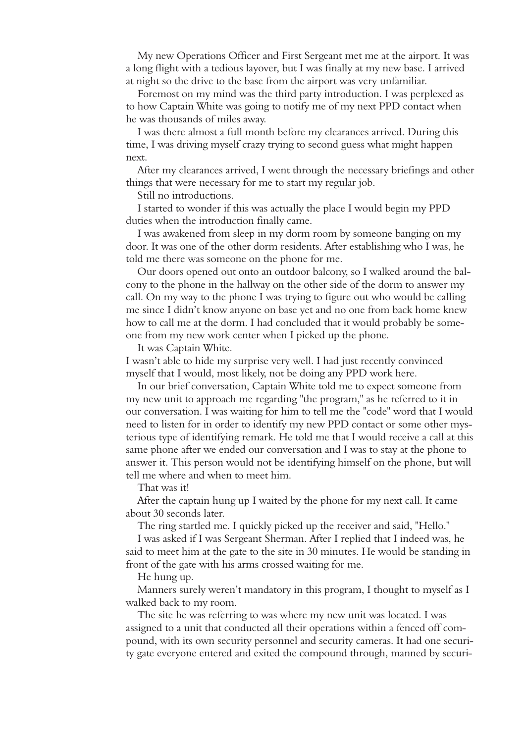My new Operations Officer and First Sergeant met me at the airport. It was a long flight with a tedious layover, but I was finally at my new base. I arrived at night so the drive to the base from the airport was very unfamiliar.

Foremost on my mind was the third party introduction. I was perplexed as to how Captain White was going to notify me of my next PPD contact when he was thousands of miles away.

I was there almost a full month before my clearances arrived. During this time, I was driving myself crazy trying to second guess what might happen next.

After my clearances arrived, I went through the necessary briefings and other things that were necessary for me to start my regular job.

Still no introductions.

I started to wonder if this was actually the place I would begin my PPD duties when the introduction finally came.

I was awakened from sleep in my dorm room by someone banging on my door. It was one of the other dorm residents. After establishing who I was, he told me there was someone on the phone for me.

Our doors opened out onto an outdoor balcony, so I walked around the balcony to the phone in the hallway on the other side of the dorm to answer my call. On my way to the phone I was trying to figure out who would be calling me since I didn't know anyone on base yet and no one from back home knew how to call me at the dorm. I had concluded that it would probably be someone from my new work center when I picked up the phone.

It was Captain White.

I wasn't able to hide my surprise very well. I had just recently convinced myself that I would, most likely, not be doing any PPD work here.

In our brief conversation, Captain White told me to expect someone from my new unit to approach me regarding "the program," as he referred to it in our conversation. I was waiting for him to tell me the "code" word that I would need to listen for in order to identify my new PPD contact or some other mysterious type of identifying remark. He told me that I would receive a call at this same phone after we ended our conversation and I was to stay at the phone to answer it. This person would not be identifying himself on the phone, but will tell me where and when to meet him.

That was it!

After the captain hung up I waited by the phone for my next call. It came about 30 seconds later.

The ring startled me. I quickly picked up the receiver and said, "Hello."

I was asked if I was Sergeant Sherman. After I replied that I indeed was, he said to meet him at the gate to the site in 30 minutes. He would be standing in front of the gate with his arms crossed waiting for me.

He hung up.

Manners surely weren't mandatory in this program, I thought to myself as I walked back to my room.

The site he was referring to was where my new unit was located. I was assigned to a unit that conducted all their operations within a fenced off compound, with its own security personnel and security cameras. It had one security gate everyone entered and exited the compound through, manned by securi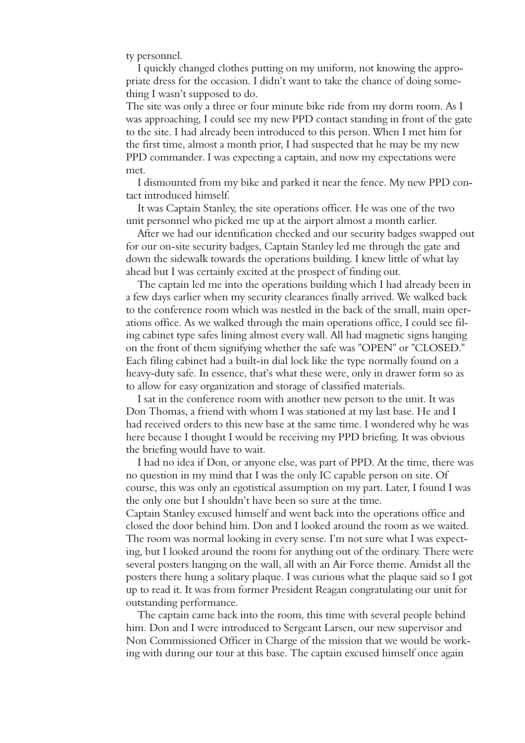ty personnel.

I quickly changed clothes putting on my uniform, not knowing the appropriate dress for the occasion. I didn't want to take the chance of doing something I wasn't supposed to do.

The site was only a three or four minute bike ride from my dorm room. As I was approaching, I could see my new PPD contact standing in front of the gate to the site. I had already been introduced to this person. When I met him for the first time, almost a month prior, I had suspected that he may be my new PPD commander. I was expecting a captain, and now my expectations were met.

I dismounted from my bike and parked it near the fence. My new PPD contact introduced himself.

It was Captain Stanley, the site operations officer. He was one of the two unit personnel who picked me up at the airport almost a month earlier.

After we had our identification checked and our security badges swapped out for our on-site security badges, Captain Stanley led me through the gate and down the sidewalk towards the operations building. I knew little of what lay ahead but I was certainly excited at the prospect of finding out.

The captain led me into the operations building which I had already been in a few days earlier when my security clearances finally arrived. We walked back to the conference room which was nestled in the back of the small, main operations office. As we walked through the main operations office, I could see filing cabinet type safes lining almost every wall. All had magnetic signs hanging on the front of them signifying whether the safe was "OPEN" or "CLOSED." Each filing cabinet had a built-in dial lock like the type normally found on a heavy-duty safe. In essence, that's what these were, only in drawer form so as to allow for easy organization and storage of classified materials.

I sat in the conference room with another new person to the unit. It was Don Thomas, a friend with whom I was stationed at my last base. He and I had received orders to this new base at the same time. I wondered why he was here because I thought I would be receiving my PPD briefing. It was obvious the briefing would have to wait.

I had no idea if Don, or anyone else, was part of PPD. At the time, there was no question in my mind that I was the only IC capable person on site. Of course, this was only an egotistical assumption on my part. Later, I found I was the only one but I shouldn't have been so sure at the time.

Captain Stanley excused himself and went back into the operations office and closed the door behind him. Don and I looked around the room as we waited. The room was normal looking in every sense. I'm not sure what I was expecting, but I looked around the room for anything out of the ordinary. There were several posters hanging on the wall, all with an Air Force theme. Amidst all the posters there hung a solitary plaque. I was curious what the plaque said so I got up to read it. It was from former President Reagan congratulating our unit for outstanding performance.

The captain came back into the room, this time with several people behind him. Don and I were introduced to Sergeant Larsen, our new supervisor and Non Commissioned Officer in Charge of the mission that we would be working with during our tour at this base. The captain excused himself once again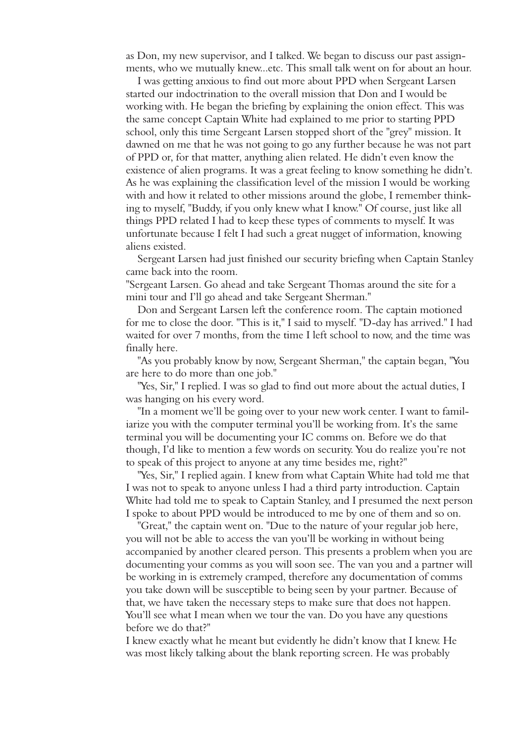as Don, my new supervisor, and I talked. We began to discuss our past assignments, who we mutually knew...etc. This small talk went on for about an hour.

I was getting anxious to find out more about PPD when Sergeant Larsen started our indoctrination to the overall mission that Don and I would be working with. He began the briefing by explaining the onion effect. This was the same concept Captain White had explained to me prior to starting PPD school, only this time Sergeant Larsen stopped short of the "grey" mission. It dawned on me that he was not going to go any further because he was not part of PPD or, for that matter, anything alien related. He didn't even know the existence of alien programs. It was a great feeling to know something he didn't. As he was explaining the classification level of the mission I would be working with and how it related to other missions around the globe, I remember thinking to myself, "Buddy, if you only knew what I know." Of course, just like all things PPD related I had to keep these types of comments to myself. It was unfortunate because I felt I had such a great nugget of information, knowing aliens existed.

Sergeant Larsen had just finished our security briefing when Captain Stanley came back into the room.

"Sergeant Larsen. Go ahead and take Sergeant Thomas around the site for a mini tour and I'll go ahead and take Sergeant Sherman."

Don and Sergeant Larsen left the conference room. The captain motioned for me to close the door. "This is it," I said to myself. "D-day has arrived." I had waited for over 7 months, from the time I left school to now, and the time was finally here.

"As you probably know by now, Sergeant Sherman," the captain began, "You are here to do more than one job."

"Yes, Sir," I replied. I was so glad to find out more about the actual duties, I was hanging on his every word.

"In a moment we'll be going over to your new work center. I want to familiarize you with the computer terminal you'll be working from. It's the same terminal you will be documenting your IC comms on. Before we do that though, I'd like to mention a few words on security. You do realize you're not to speak of this project to anyone at any time besides me, right?"

"Yes, Sir," I replied again. I knew from what Captain White had told me that I was not to speak to anyone unless I had a third party introduction. Captain White had told me to speak to Captain Stanley, and I presumed the next person I spoke to about PPD would be introduced to me by one of them and so on.

"Great," the captain went on. "Due to the nature of your regular job here, you will not be able to access the van you'll be working in without being accompanied by another cleared person. This presents a problem when you are documenting your comms as you will soon see. The van you and a partner will be working in is extremely cramped, therefore any documentation of comms you take down will be susceptible to being seen by your partner. Because of that, we have taken the necessary steps to make sure that does not happen. You'll see what I mean when we tour the van. Do you have any questions before we do that?"

I knew exactly what he meant but evidently he didn't know that I knew. He was most likely talking about the blank reporting screen. He was probably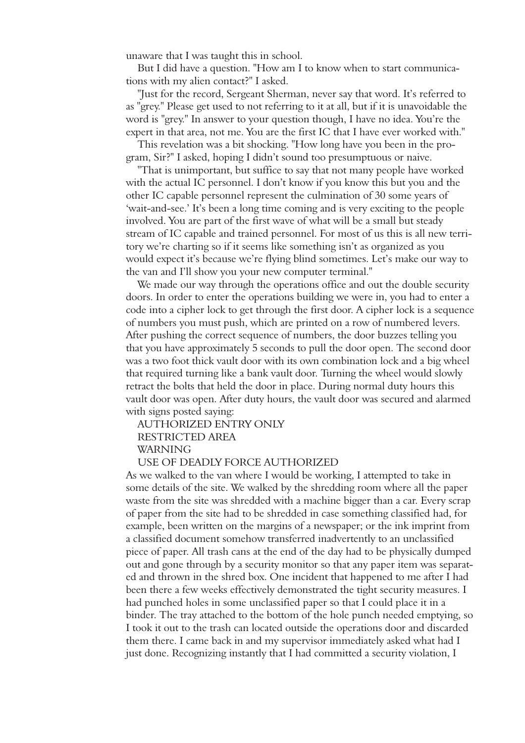unaware that I was taught this in school.

But I did have a question. "How am I to know when to start communications with my alien contact?" I asked.

"Just for the record, Sergeant Sherman, never say that word. It's referred to as "grey." Please get used to not referring to it at all, but if it is unavoidable the word is "grey." In answer to your question though, I have no idea. You're the expert in that area, not me. You are the first IC that I have ever worked with."

This revelation was a bit shocking. "How long have you been in the program, Sir?" I asked, hoping I didn't sound too presumptuous or naive.

"That is unimportant, but suffice to say that not many people have worked with the actual IC personnel. I don't know if you know this but you and the other IC capable personnel represent the culmination of 30 some years of 'wait-and-see.' It's been a long time coming and is very exciting to the people involved. You are part of the first wave of what will be a small but steady stream of IC capable and trained personnel. For most of us this is all new territory we're charting so if it seems like something isn't as organized as you would expect it's because we're flying blind sometimes. Let's make our way to the van and I'll show you your new computer terminal."

We made our way through the operations office and out the double security doors. In order to enter the operations building we were in, you had to enter a code into a cipher lock to get through the first door. A cipher lock is a sequence of numbers you must push, which are printed on a row of numbered levers. After pushing the correct sequence of numbers, the door buzzes telling you that you have approximately 5 seconds to pull the door open. The second door was a two foot thick vault door with its own combination lock and a big wheel that required turning like a bank vault door. Turning the wheel would slowly retract the bolts that held the door in place. During normal duty hours this vault door was open. After duty hours, the vault door was secured and alarmed with signs posted saying:

AUTHORIZED ENTRY ONLY RESTRICTED AREA WARNING

#### USE OF DEADLY FORCE AUTHORIZED

As we walked to the van where I would be working, I attempted to take in some details of the site. We walked by the shredding room where all the paper waste from the site was shredded with a machine bigger than a car. Every scrap of paper from the site had to be shredded in case something classified had, for example, been written on the margins of a newspaper; or the ink imprint from a classified document somehow transferred inadvertently to an unclassified piece of paper. All trash cans at the end of the day had to be physically dumped out and gone through by a security monitor so that any paper item was separated and thrown in the shred box. One incident that happened to me after I had been there a few weeks effectively demonstrated the tight security measures. I had punched holes in some unclassified paper so that I could place it in a binder. The tray attached to the bottom of the hole punch needed emptying, so I took it out to the trash can located outside the operations door and discarded them there. I came back in and my supervisor immediately asked what had I just done. Recognizing instantly that I had committed a security violation, I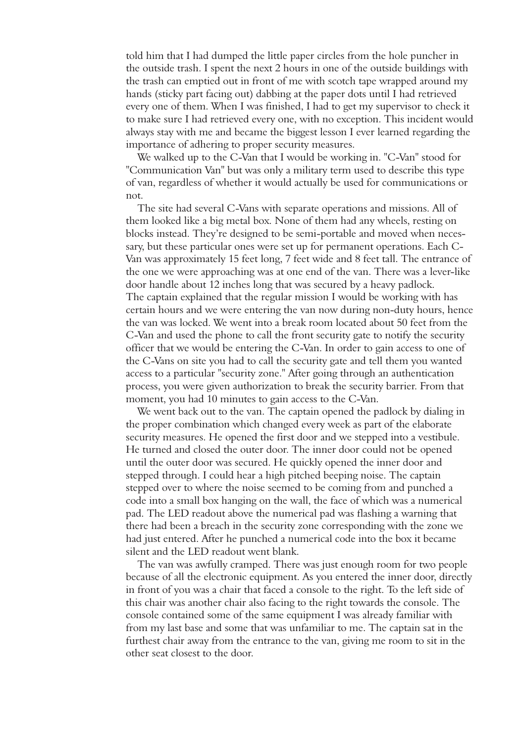told him that I had dumped the little paper circles from the hole puncher in the outside trash. I spent the next 2 hours in one of the outside buildings with the trash can emptied out in front of me with scotch tape wrapped around my hands (sticky part facing out) dabbing at the paper dots until I had retrieved every one of them. When I was finished, I had to get my supervisor to check it to make sure I had retrieved every one, with no exception. This incident would always stay with me and became the biggest lesson I ever learned regarding the importance of adhering to proper security measures.

We walked up to the C-Van that I would be working in. "C-Van" stood for "Communication Van" but was only a military term used to describe this type of van, regardless of whether it would actually be used for communications or not.

The site had several C-Vans with separate operations and missions. All of them looked like a big metal box. None of them had any wheels, resting on blocks instead. They're designed to be semi-portable and moved when necessary, but these particular ones were set up for permanent operations. Each C-Van was approximately 15 feet long, 7 feet wide and 8 feet tall. The entrance of the one we were approaching was at one end of the van. There was a lever-like door handle about 12 inches long that was secured by a heavy padlock. The captain explained that the regular mission I would be working with has certain hours and we were entering the van now during non-duty hours, hence the van was locked. We went into a break room located about 50 feet from the C-Van and used the phone to call the front security gate to notify the security officer that we would be entering the C-Van. In order to gain access to one of the C-Vans on site you had to call the security gate and tell them you wanted access to a particular "security zone." After going through an authentication process, you were given authorization to break the security barrier. From that moment, you had 10 minutes to gain access to the C-Van.

We went back out to the van. The captain opened the padlock by dialing in the proper combination which changed every week as part of the elaborate security measures. He opened the first door and we stepped into a vestibule. He turned and closed the outer door. The inner door could not be opened until the outer door was secured. He quickly opened the inner door and stepped through. I could hear a high pitched beeping noise. The captain stepped over to where the noise seemed to be coming from and punched a code into a small box hanging on the wall, the face of which was a numerical pad. The LED readout above the numerical pad was flashing a warning that there had been a breach in the security zone corresponding with the zone we had just entered. After he punched a numerical code into the box it became silent and the LED readout went blank.

The van was awfully cramped. There was just enough room for two people because of all the electronic equipment. As you entered the inner door, directly in front of you was a chair that faced a console to the right. To the left side of this chair was another chair also facing to the right towards the console. The console contained some of the same equipment I was already familiar with from my last base and some that was unfamiliar to me. The captain sat in the furthest chair away from the entrance to the van, giving me room to sit in the other seat closest to the door.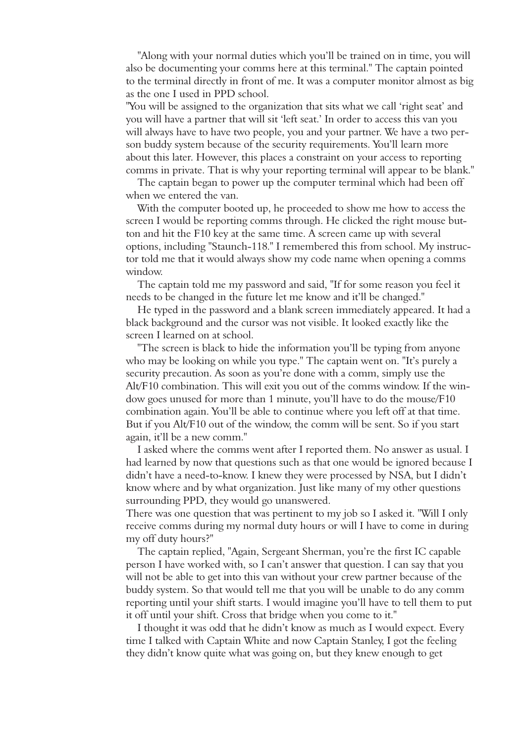"Along with your normal duties which you'll be trained on in time, you will also be documenting your comms here at this terminal." The captain pointed to the terminal directly in front of me. It was a computer monitor almost as big as the one I used in PPD school.

"You will be assigned to the organization that sits what we call 'right seat' and you will have a partner that will sit 'left seat.' In order to access this van you will always have to have two people, you and your partner. We have a two person buddy system because of the security requirements. You'll learn more about this later. However, this places a constraint on your access to reporting comms in private. That is why your reporting terminal will appear to be blank."

The captain began to power up the computer terminal which had been off when we entered the van.

With the computer booted up, he proceeded to show me how to access the screen I would be reporting comms through. He clicked the right mouse button and hit the F10 key at the same time. A screen came up with several options, including "Staunch-118." I remembered this from school. My instructor told me that it would always show my code name when opening a comms window.

The captain told me my password and said, "If for some reason you feel it needs to be changed in the future let me know and it'll be changed."

He typed in the password and a blank screen immediately appeared. It had a black background and the cursor was not visible. It looked exactly like the screen I learned on at school.

"The screen is black to hide the information you'll be typing from anyone who may be looking on while you type." The captain went on. "It's purely a security precaution. As soon as you're done with a comm, simply use the Alt/F10 combination. This will exit you out of the comms window. If the window goes unused for more than 1 minute, you'll have to do the mouse/F10 combination again. You'll be able to continue where you left off at that time. But if you Alt/F10 out of the window, the comm will be sent. So if you start again, it'll be a new comm."

I asked where the comms went after I reported them. No answer as usual. I had learned by now that questions such as that one would be ignored because I didn't have a need-to-know. I knew they were processed by NSA, but I didn't know where and by what organization. Just like many of my other questions surrounding PPD, they would go unanswered.

There was one question that was pertinent to my job so I asked it. "Will I only receive comms during my normal duty hours or will I have to come in during my off duty hours?"

The captain replied, "Again, Sergeant Sherman, you're the first IC capable person I have worked with, so I can't answer that question. I can say that you will not be able to get into this van without your crew partner because of the buddy system. So that would tell me that you will be unable to do any comm reporting until your shift starts. I would imagine you'll have to tell them to put it off until your shift. Cross that bridge when you come to it."

I thought it was odd that he didn't know as much as I would expect. Every time I talked with Captain White and now Captain Stanley, I got the feeling they didn't know quite what was going on, but they knew enough to get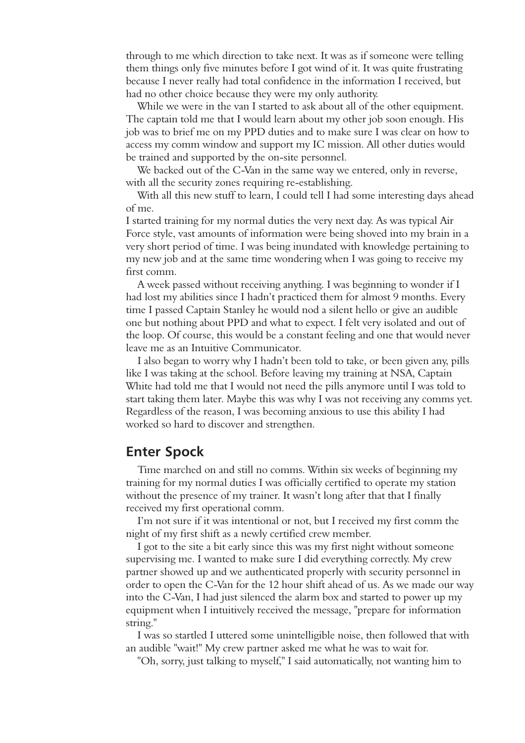through to me which direction to take next. It was as if someone were telling them things only five minutes before I got wind of it. It was quite frustrating because I never really had total confidence in the information I received, but had no other choice because they were my only authority.

While we were in the van I started to ask about all of the other equipment. The captain told me that I would learn about my other job soon enough. His job was to brief me on my PPD duties and to make sure I was clear on how to access my comm window and support my IC mission. All other duties would be trained and supported by the on-site personnel.

We backed out of the C-Van in the same way we entered, only in reverse, with all the security zones requiring re-establishing.

With all this new stuff to learn, I could tell I had some interesting days ahead of me.

I started training for my normal duties the very next day. As was typical Air Force style, vast amounts of information were being shoved into my brain in a very short period of time. I was being inundated with knowledge pertaining to my new job and at the same time wondering when I was going to receive my first comm.

A week passed without receiving anything. I was beginning to wonder if I had lost my abilities since I hadn't practiced them for almost 9 months. Every time I passed Captain Stanley he would nod a silent hello or give an audible one but nothing about PPD and what to expect. I felt very isolated and out of the loop. Of course, this would be a constant feeling and one that would never leave me as an Intuitive Communicator.

I also began to worry why I hadn't been told to take, or been given any, pills like I was taking at the school. Before leaving my training at NSA, Captain White had told me that I would not need the pills anymore until I was told to start taking them later. Maybe this was why I was not receiving any comms yet. Regardless of the reason, I was becoming anxious to use this ability I had worked so hard to discover and strengthen.

## Enter Spock

Time marched on and still no comms. Within six weeks of beginning my training for my normal duties I was officially certified to operate my station without the presence of my trainer. It wasn't long after that that I finally received my first operational comm.

Im not sure if it was intentional or not, but I received my first comm the night of my first shift as a newly certified crew member.

I got to the site a bit early since this was my first night without someone supervising me. I wanted to make sure I did everything correctly. My crew partner showed up and we authenticated properly with security personnel in order to open the C-Van for the 12 hour shift ahead of us. As we made our way into the C-Van, I had just silenced the alarm box and started to power up my equipment when I intuitively received the message, "prepare for information string."

I was so startled I uttered some unintelligible noise, then followed that with an audible "wait!" My crew partner asked me what he was to wait for.

"Oh, sorry, just talking to myself," I said automatically, not wanting him to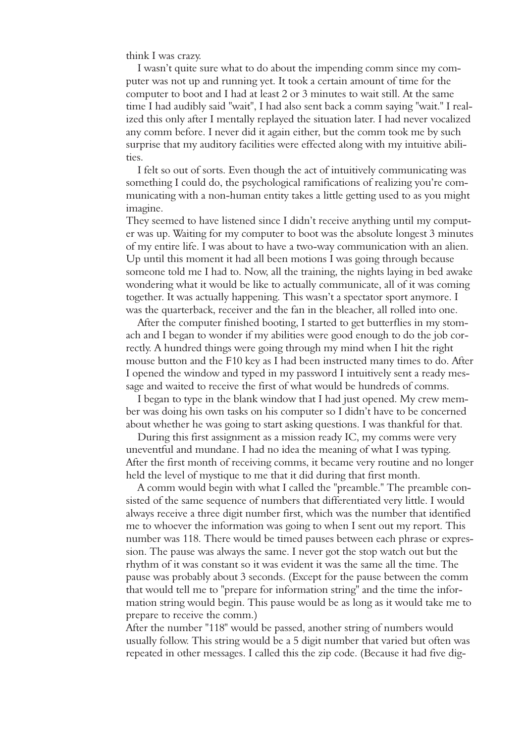think I was crazy.

I wasn't quite sure what to do about the impending comm since my computer was not up and running yet. It took a certain amount of time for the computer to boot and I had at least 2 or 3 minutes to wait still. At the same time I had audibly said "wait", I had also sent back a comm saying "wait." I realized this only after I mentally replayed the situation later. I had never vocalized any comm before. I never did it again either, but the comm took me by such surprise that my auditory facilities were effected along with my intuitive abilities.

I felt so out of sorts. Even though the act of intuitively communicating was something I could do, the psychological ramifications of realizing you're communicating with a non-human entity takes a little getting used to as you might imagine.

They seemed to have listened since I didn't receive anything until my computer was up. Waiting for my computer to boot was the absolute longest 3 minutes of my entire life. I was about to have a two-way communication with an alien. Up until this moment it had all been motions I was going through because someone told me I had to. Now, all the training, the nights laying in bed awake wondering what it would be like to actually communicate, all of it was coming together. It was actually happening. This wasn't a spectator sport anymore. I was the quarterback, receiver and the fan in the bleacher, all rolled into one.

After the computer finished booting, I started to get butterflies in my stomach and I began to wonder if my abilities were good enough to do the job correctly. A hundred things were going through my mind when I hit the right mouse button and the F10 key as I had been instructed many times to do. After I opened the window and typed in my password I intuitively sent a ready message and waited to receive the first of what would be hundreds of comms.

I began to type in the blank window that I had just opened. My crew member was doing his own tasks on his computer so I didn't have to be concerned about whether he was going to start asking questions. I was thankful for that.

During this first assignment as a mission ready IC, my comms were very uneventful and mundane. I had no idea the meaning of what I was typing. After the first month of receiving comms, it became very routine and no longer held the level of mystique to me that it did during that first month.

A comm would begin with what I called the "preamble." The preamble consisted of the same sequence of numbers that differentiated very little. I would always receive a three digit number first, which was the number that identified me to whoever the information was going to when I sent out my report. This number was 118. There would be timed pauses between each phrase or expression. The pause was always the same. I never got the stop watch out but the rhythm of it was constant so it was evident it was the same all the time. The pause was probably about 3 seconds. (Except for the pause between the comm that would tell me to "prepare for information string" and the time the information string would begin. This pause would be as long as it would take me to prepare to receive the comm.)

After the number "118" would be passed, another string of numbers would usually follow. This string would be a 5 digit number that varied but often was repeated in other messages. I called this the zip code. (Because it had five dig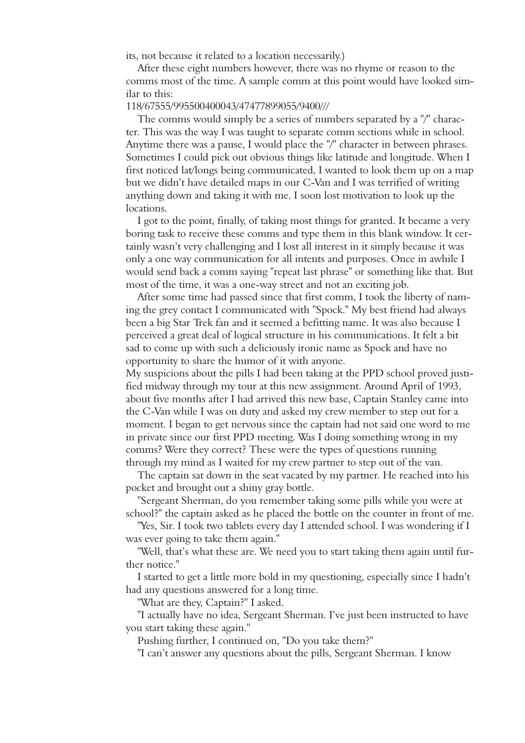its, not because it related to a location necessarily.)

After these eight numbers however, there was no rhyme or reason to the comms most of the time. A sample comm at this point would have looked similar to this:

#### 118/67555/995500400043/47477899055/9400///

The comms would simply be a series of numbers separated by a "/" character. This was the way I was taught to separate comm sections while in school. Anytime there was a pause, I would place the "/" character in between phrases. Sometimes I could pick out obvious things like latitude and longitude. When I first noticed lat/longs being communicated, I wanted to look them up on a map but we didn't have detailed maps in our C-Van and I was terrified of writing anything down and taking it with me. I soon lost motivation to look up the locations.

I got to the point, finally, of taking most things for granted. It became a very boring task to receive these comms and type them in this blank window. It certainly wasn't very challenging and I lost all interest in it simply because it was only a one way communication for all intents and purposes. Once in awhile I would send back a comm saying "repeat last phrase" or something like that. But most of the time, it was a one-way street and not an exciting job.

After some time had passed since that first comm, I took the liberty of naming the grey contact I communicated with "Spock." My best friend had always been a big Star Trek fan and it seemed a befitting name. It was also because I perceived a great deal of logical structure in his communications. It felt a bit sad to come up with such a deliciously ironic name as Spock and have no opportunity to share the humor of it with anyone.

My suspicions about the pills I had been taking at the PPD school proved justified midway through my tour at this new assignment. Around April of 1993, about five months after I had arrived this new base, Captain Stanley came into the C-Van while I was on duty and asked my crew member to step out for a moment. I began to get nervous since the captain had not said one word to me in private since our first PPD meeting. Was I doing something wrong in my comms? Were they correct? These were the types of questions running through my mind as I waited for my crew partner to step out of the van.

The captain sat down in the seat vacated by my partner. He reached into his pocket and brought out a shiny gray bottle.

"Sergeant Sherman, do you remember taking some pills while you were at school?" the captain asked as he placed the bottle on the counter in front of me.

"Yes, Sir. I took two tablets every day I attended school. I was wondering if I was ever going to take them again."

"Well, that's what these are. We need you to start taking them again until further notice."

I started to get a little more bold in my questioning, especially since I hadn't had any questions answered for a long time.

"What are they, Captain?" I asked.

"I actually have no idea, Sergeant Sherman. Ive just been instructed to have you start taking these again."

Pushing further, I continued on, "Do you take them?"

"I can't answer any questions about the pills, Sergeant Sherman. I know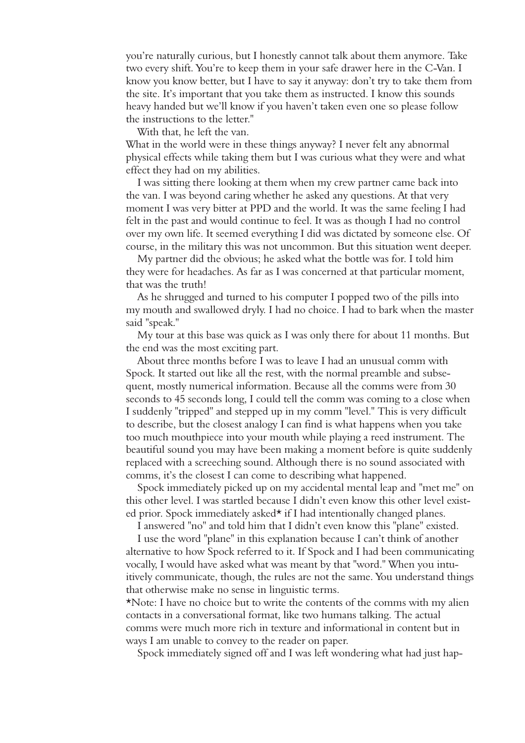you're naturally curious, but I honestly cannot talk about them anymore. Take two every shift. You're to keep them in your safe drawer here in the C-Van. I know you know better, but I have to say it anyway: don't try to take them from the site. It's important that you take them as instructed. I know this sounds heavy handed but we'll know if you haven't taken even one so please follow the instructions to the letter."

With that, he left the van.

What in the world were in these things anyway? I never felt any abnormal physical effects while taking them but I was curious what they were and what effect they had on my abilities.

I was sitting there looking at them when my crew partner came back into the van. I was beyond caring whether he asked any questions. At that very moment I was very bitter at PPD and the world. It was the same feeling I had felt in the past and would continue to feel. It was as though I had no control over my own life. It seemed everything I did was dictated by someone else. Of course, in the military this was not uncommon. But this situation went deeper.

My partner did the obvious; he asked what the bottle was for. I told him they were for headaches. As far as I was concerned at that particular moment, that was the truth!

As he shrugged and turned to his computer I popped two of the pills into my mouth and swallowed dryly. I had no choice. I had to bark when the master said "speak."

My tour at this base was quick as I was only there for about 11 months. But the end was the most exciting part.

About three months before I was to leave I had an unusual comm with Spock. It started out like all the rest, with the normal preamble and subsequent, mostly numerical information. Because all the comms were from 30 seconds to 45 seconds long, I could tell the comm was coming to a close when I suddenly "tripped" and stepped up in my comm "level." This is very difficult to describe, but the closest analogy I can find is what happens when you take too much mouthpiece into your mouth while playing a reed instrument. The beautiful sound you may have been making a moment before is quite suddenly replaced with a screeching sound. Although there is no sound associated with comms, it's the closest I can come to describing what happened.

Spock immediately picked up on my accidental mental leap and "met me" on this other level. I was startled because I didn't even know this other level existed prior. Spock immediately asked\* if I had intentionally changed planes.

I answered "no" and told him that I didn't even know this "plane" existed.

I use the word "plane" in this explanation because I can't think of another alternative to how Spock referred to it. If Spock and I had been communicating vocally, I would have asked what was meant by that "word." When you intuitively communicate, though, the rules are not the same. You understand things that otherwise make no sense in linguistic terms.

\*Note: I have no choice but to write the contents of the comms with my alien contacts in a conversational format, like two humans talking. The actual comms were much more rich in texture and informational in content but in ways I am unable to convey to the reader on paper.

Spock immediately signed off and I was left wondering what had just hap-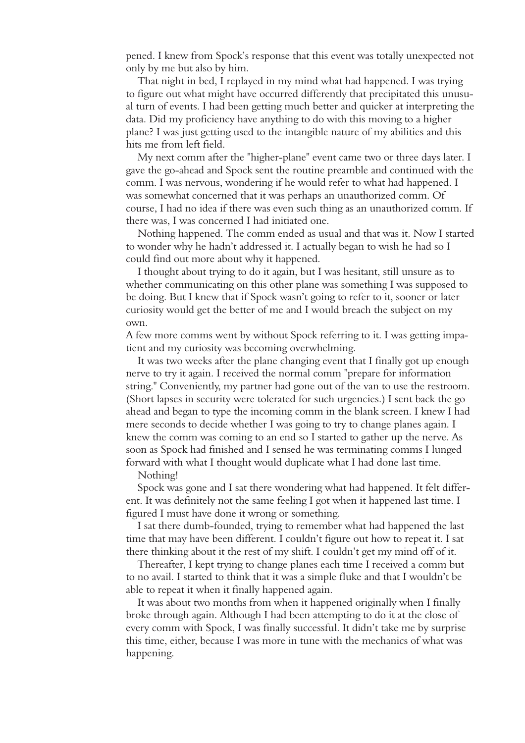pened. I knew from Spock's response that this event was totally unexpected not only by me but also by him.

That night in bed, I replayed in my mind what had happened. I was trying to figure out what might have occurred differently that precipitated this unusual turn of events. I had been getting much better and quicker at interpreting the data. Did my proficiency have anything to do with this moving to a higher plane? I was just getting used to the intangible nature of my abilities and this hits me from left field.

My next comm after the "higher-plane" event came two or three days later. I gave the go-ahead and Spock sent the routine preamble and continued with the comm. I was nervous, wondering if he would refer to what had happened. I was somewhat concerned that it was perhaps an unauthorized comm. Of course, I had no idea if there was even such thing as an unauthorized comm. If there was, I was concerned I had initiated one.

Nothing happened. The comm ended as usual and that was it. Now I started to wonder why he hadn't addressed it. I actually began to wish he had so I could find out more about why it happened.

I thought about trying to do it again, but I was hesitant, still unsure as to whether communicating on this other plane was something I was supposed to be doing. But I knew that if Spock wasn't going to refer to it, sooner or later curiosity would get the better of me and I would breach the subject on my own.

A few more comms went by without Spock referring to it. I was getting impatient and my curiosity was becoming overwhelming.

It was two weeks after the plane changing event that I finally got up enough nerve to try it again. I received the normal comm "prepare for information string." Conveniently, my partner had gone out of the van to use the restroom. (Short lapses in security were tolerated for such urgencies.) I sent back the go ahead and began to type the incoming comm in the blank screen. I knew I had mere seconds to decide whether I was going to try to change planes again. I knew the comm was coming to an end so I started to gather up the nerve. As soon as Spock had finished and I sensed he was terminating comms I lunged forward with what I thought would duplicate what I had done last time.

Nothing!

Spock was gone and I sat there wondering what had happened. It felt different. It was definitely not the same feeling I got when it happened last time. I figured I must have done it wrong or something.

I sat there dumb-founded, trying to remember what had happened the last time that may have been different. I couldn't figure out how to repeat it. I sat there thinking about it the rest of my shift. I couldn't get my mind off of it.

Thereafter, I kept trying to change planes each time I received a comm but to no avail. I started to think that it was a simple fluke and that I wouldn't be able to repeat it when it finally happened again.

It was about two months from when it happened originally when I finally broke through again. Although I had been attempting to do it at the close of every comm with Spock, I was finally successful. It didn't take me by surprise this time, either, because I was more in tune with the mechanics of what was happening.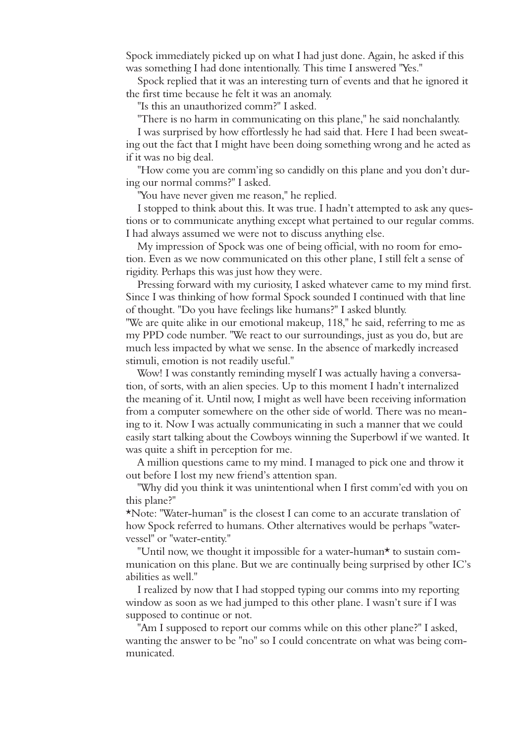Spock immediately picked up on what I had just done. Again, he asked if this was something I had done intentionally. This time I answered "Yes."

Spock replied that it was an interesting turn of events and that he ignored it the first time because he felt it was an anomaly.

"Is this an unauthorized comm?" I asked.

"There is no harm in communicating on this plane," he said nonchalantly.

I was surprised by how effortlessly he had said that. Here I had been sweating out the fact that I might have been doing something wrong and he acted as if it was no big deal.

"How come you are comm'ing so candidly on this plane and you don't during our normal comms?" I asked.

"You have never given me reason," he replied.

I stopped to think about this. It was true. I hadn't attempted to ask any questions or to communicate anything except what pertained to our regular comms. I had always assumed we were not to discuss anything else.

My impression of Spock was one of being official, with no room for emotion. Even as we now communicated on this other plane, I still felt a sense of rigidity. Perhaps this was just how they were.

Pressing forward with my curiosity, I asked whatever came to my mind first. Since I was thinking of how formal Spock sounded I continued with that line of thought. "Do you have feelings like humans?" I asked bluntly.

"We are quite alike in our emotional makeup, 118," he said, referring to me as my PPD code number. "We react to our surroundings, just as you do, but are much less impacted by what we sense. In the absence of markedly increased stimuli, emotion is not readily useful."

Wow! I was constantly reminding myself I was actually having a conversation, of sorts, with an alien species. Up to this moment I hadn't internalized the meaning of it. Until now, I might as well have been receiving information from a computer somewhere on the other side of world. There was no meaning to it. Now I was actually communicating in such a manner that we could easily start talking about the Cowboys winning the Superbowl if we wanted. It was quite a shift in perception for me.

A million questions came to my mind. I managed to pick one and throw it out before I lost my new friend's attention span.

"Why did you think it was unintentional when I first comm'ed with you on this plane?"

\*Note: "Water-human" is the closest I can come to an accurate translation of how Spock referred to humans. Other alternatives would be perhaps "watervessel" or "water-entity."

"Until now, we thought it impossible for a water-human\* to sustain communication on this plane. But we are continually being surprised by other IC's abilities as well."

I realized by now that I had stopped typing our comms into my reporting window as soon as we had jumped to this other plane. I wasn't sure if I was supposed to continue or not.

"Am I supposed to report our comms while on this other plane?" I asked, wanting the answer to be "no" so I could concentrate on what was being communicated.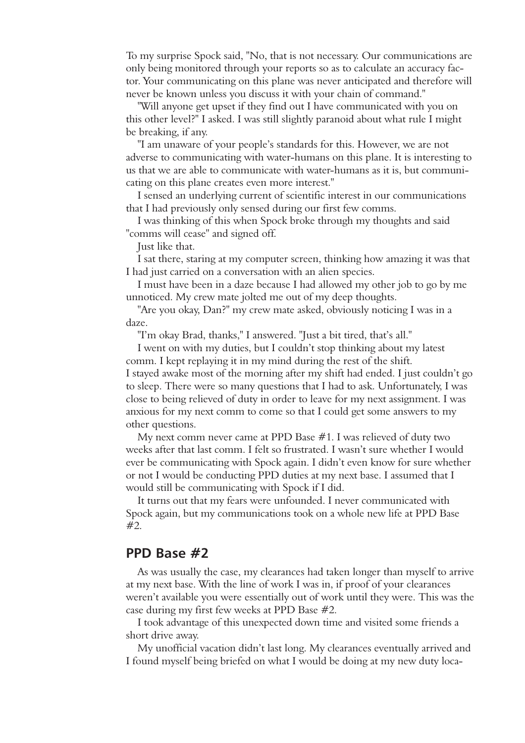To my surprise Spock said, "No, that is not necessary. Our communications are only being monitored through your reports so as to calculate an accuracy factor. Your communicating on this plane was never anticipated and therefore will never be known unless you discuss it with your chain of command."

"Will anyone get upset if they find out I have communicated with you on this other level?" I asked. I was still slightly paranoid about what rule I might be breaking, if any.

"I am unaware of your people's standards for this. However, we are not adverse to communicating with water-humans on this plane. It is interesting to us that we are able to communicate with water-humans as it is, but communicating on this plane creates even more interest."

I sensed an underlying current of scientific interest in our communications that I had previously only sensed during our first few comms.

I was thinking of this when Spock broke through my thoughts and said "comms will cease" and signed off.

Just like that.

I sat there, staring at my computer screen, thinking how amazing it was that I had just carried on a conversation with an alien species.

I must have been in a daze because I had allowed my other job to go by me unnoticed. My crew mate jolted me out of my deep thoughts.

"Are you okay, Dan?" my crew mate asked, obviously noticing I was in a daze.

"I'm okay Brad, thanks," I answered. "Just a bit tired, that's all."

I went on with my duties, but I couldn't stop thinking about my latest comm. I kept replaying it in my mind during the rest of the shift.

I stayed awake most of the morning after my shift had ended. I just couldn't go to sleep. There were so many questions that I had to ask. Unfortunately, I was close to being relieved of duty in order to leave for my next assignment. I was anxious for my next comm to come so that I could get some answers to my other questions.

My next comm never came at PPD Base #1. I was relieved of duty two weeks after that last comm. I felt so frustrated. I wasn't sure whether I would ever be communicating with Spock again. I didn't even know for sure whether or not I would be conducting PPD duties at my next base. I assumed that I would still be communicating with Spock if I did.

It turns out that my fears were unfounded. I never communicated with Spock again, but my communications took on a whole new life at PPD Base #2.

#### PPD Base #2

As was usually the case, my clearances had taken longer than myself to arrive at my next base. With the line of work I was in, if proof of your clearances weren't available you were essentially out of work until they were. This was the case during my first few weeks at PPD Base #2.

I took advantage of this unexpected down time and visited some friends a short drive away.

My unofficial vacation didn't last long. My clearances eventually arrived and I found myself being briefed on what I would be doing at my new duty loca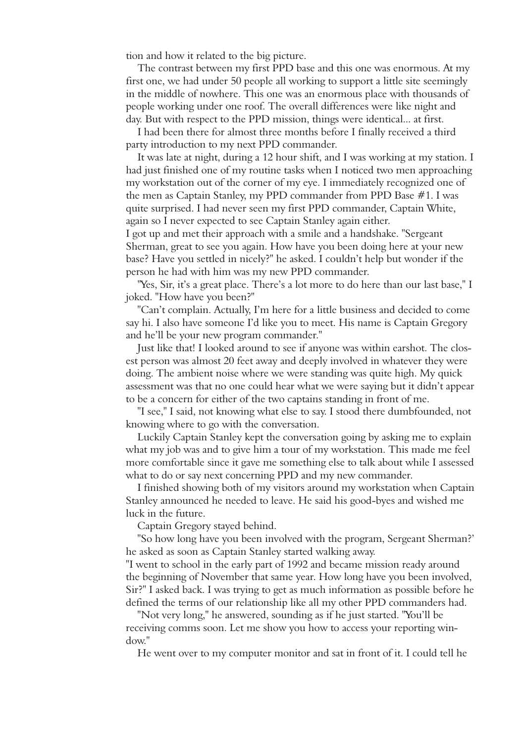tion and how it related to the big picture.

The contrast between my first PPD base and this one was enormous. At my first one, we had under 50 people all working to support a little site seemingly in the middle of nowhere. This one was an enormous place with thousands of people working under one roof. The overall differences were like night and day. But with respect to the PPD mission, things were identical... at first.

I had been there for almost three months before I finally received a third party introduction to my next PPD commander.

It was late at night, during a 12 hour shift, and I was working at my station. I had just finished one of my routine tasks when I noticed two men approaching my workstation out of the corner of my eye. I immediately recognized one of the men as Captain Stanley, my PPD commander from PPD Base #1. I was quite surprised. I had never seen my first PPD commander, Captain White, again so I never expected to see Captain Stanley again either.

I got up and met their approach with a smile and a handshake. "Sergeant Sherman, great to see you again. How have you been doing here at your new base? Have you settled in nicely?" he asked. I couldn't help but wonder if the person he had with him was my new PPD commander.

"Yes, Sir, it's a great place. There's a lot more to do here than our last base," I joked. "How have you been?"

"Can't complain. Actually, I'm here for a little business and decided to come say hi. I also have someone I'd like you to meet. His name is Captain Gregory and he'll be your new program commander."

Just like that! I looked around to see if anyone was within earshot. The closest person was almost 20 feet away and deeply involved in whatever they were doing. The ambient noise where we were standing was quite high. My quick assessment was that no one could hear what we were saying but it didn't appear to be a concern for either of the two captains standing in front of me.

"I see," I said, not knowing what else to say. I stood there dumbfounded, not knowing where to go with the conversation.

Luckily Captain Stanley kept the conversation going by asking me to explain what my job was and to give him a tour of my workstation. This made me feel more comfortable since it gave me something else to talk about while I assessed what to do or say next concerning PPD and my new commander.

I finished showing both of my visitors around my workstation when Captain Stanley announced he needed to leave. He said his good-byes and wished me luck in the future.

Captain Gregory stayed behind.

"So how long have you been involved with the program, Sergeant Sherman? he asked as soon as Captain Stanley started walking away.

"I went to school in the early part of 1992 and became mission ready around the beginning of November that same year. How long have you been involved, Sir?" I asked back. I was trying to get as much information as possible before he defined the terms of our relationship like all my other PPD commanders had.

"Not very long," he answered, sounding as if he just started. "You'll be receiving comms soon. Let me show you how to access your reporting window."

He went over to my computer monitor and sat in front of it. I could tell he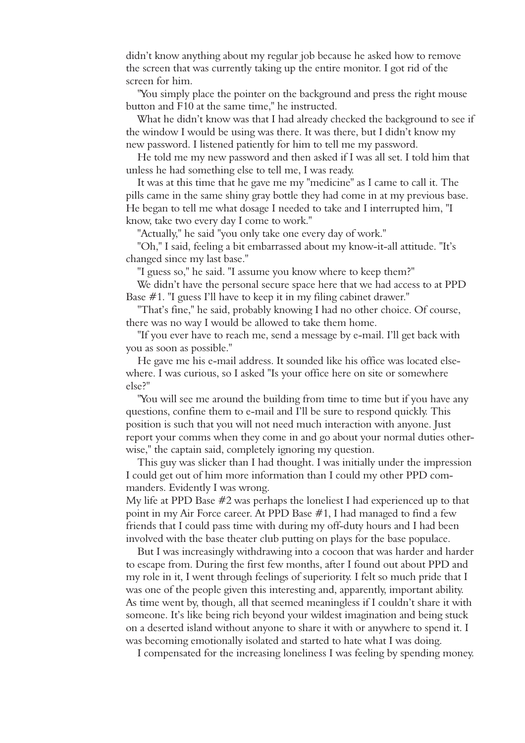didn't know anything about my regular job because he asked how to remove the screen that was currently taking up the entire monitor. I got rid of the screen for him.

"You simply place the pointer on the background and press the right mouse button and F10 at the same time," he instructed.

What he didn't know was that I had already checked the background to see if the window I would be using was there. It was there, but I didn't know my new password. I listened patiently for him to tell me my password.

He told me my new password and then asked if I was all set. I told him that unless he had something else to tell me, I was ready.

It was at this time that he gave me my "medicine" as I came to call it. The pills came in the same shiny gray bottle they had come in at my previous base. He began to tell me what dosage I needed to take and I interrupted him, "I know, take two every day I come to work."

"Actually," he said "you only take one every day of work."

"Oh," I said, feeling a bit embarrassed about my know-it-all attitude. "It's changed since my last base."

"I guess so," he said. "I assume you know where to keep them?"

We didn't have the personal secure space here that we had access to at PPD Base  $#1$ . "I guess I'll have to keep it in my filing cabinet drawer."

"That's fine," he said, probably knowing I had no other choice. Of course, there was no way I would be allowed to take them home.

"If you ever have to reach me, send a message by e-mail. I'll get back with you as soon as possible."

He gave me his e-mail address. It sounded like his office was located elsewhere. I was curious, so I asked "Is your office here on site or somewhere else?"

"You will see me around the building from time to time but if you have any questions, confine them to e-mail and I'll be sure to respond quickly. This position is such that you will not need much interaction with anyone. Just report your comms when they come in and go about your normal duties otherwise," the captain said, completely ignoring my question.

This guy was slicker than I had thought. I was initially under the impression I could get out of him more information than I could my other PPD commanders. Evidently I was wrong.

My life at PPD Base #2 was perhaps the loneliest I had experienced up to that point in my Air Force career. At PPD Base #1, I had managed to find a few friends that I could pass time with during my off-duty hours and I had been involved with the base theater club putting on plays for the base populace.

But I was increasingly withdrawing into a cocoon that was harder and harder to escape from. During the first few months, after I found out about PPD and my role in it, I went through feelings of superiority. I felt so much pride that I was one of the people given this interesting and, apparently, important ability. As time went by, though, all that seemed meaningless if I couldn't share it with someone. It's like being rich beyond your wildest imagination and being stuck on a deserted island without anyone to share it with or anywhere to spend it. I was becoming emotionally isolated and started to hate what I was doing.

I compensated for the increasing loneliness I was feeling by spending money.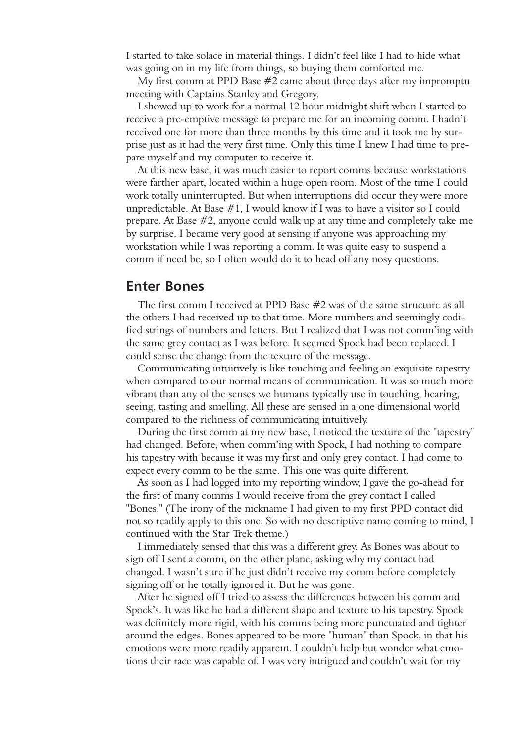I started to take solace in material things. I didn't feel like I had to hide what was going on in my life from things, so buying them comforted me.

My first comm at PPD Base #2 came about three days after my impromptu meeting with Captains Stanley and Gregory.

I showed up to work for a normal 12 hour midnight shift when I started to receive a pre-emptive message to prepare me for an incoming comm. I hadn't received one for more than three months by this time and it took me by surprise just as it had the very first time. Only this time I knew I had time to prepare myself and my computer to receive it.

At this new base, it was much easier to report comms because workstations were farther apart, located within a huge open room. Most of the time I could work totally uninterrupted. But when interruptions did occur they were more unpredictable. At Base #1, I would know if I was to have a visitor so I could prepare. At Base #2, anyone could walk up at any time and completely take me by surprise. I became very good at sensing if anyone was approaching my workstation while I was reporting a comm. It was quite easy to suspend a comm if need be, so I often would do it to head off any nosy questions.

#### Enter Bones

The first comm I received at PPD Base #2 was of the same structure as all the others I had received up to that time. More numbers and seemingly codified strings of numbers and letters. But I realized that I was not comm'ing with the same grey contact as I was before. It seemed Spock had been replaced. I could sense the change from the texture of the message.

Communicating intuitively is like touching and feeling an exquisite tapestry when compared to our normal means of communication. It was so much more vibrant than any of the senses we humans typically use in touching, hearing, seeing, tasting and smelling. All these are sensed in a one dimensional world compared to the richness of communicating intuitively.

During the first comm at my new base, I noticed the texture of the "tapestry" had changed. Before, when comm'ing with Spock, I had nothing to compare his tapestry with because it was my first and only grey contact. I had come to expect every comm to be the same. This one was quite different.

As soon as I had logged into my reporting window, I gave the go-ahead for the first of many comms I would receive from the grey contact I called "Bones." (The irony of the nickname I had given to my first PPD contact did not so readily apply to this one. So with no descriptive name coming to mind, I continued with the Star Trek theme.)

I immediately sensed that this was a different grey. As Bones was about to sign off I sent a comm, on the other plane, asking why my contact had changed. I wasn't sure if he just didn't receive my comm before completely signing off or he totally ignored it. But he was gone.

After he signed off I tried to assess the differences between his comm and Spock's. It was like he had a different shape and texture to his tapestry. Spock was definitely more rigid, with his comms being more punctuated and tighter around the edges. Bones appeared to be more "human" than Spock, in that his emotions were more readily apparent. I couldn't help but wonder what emotions their race was capable of. I was very intrigued and couldn't wait for my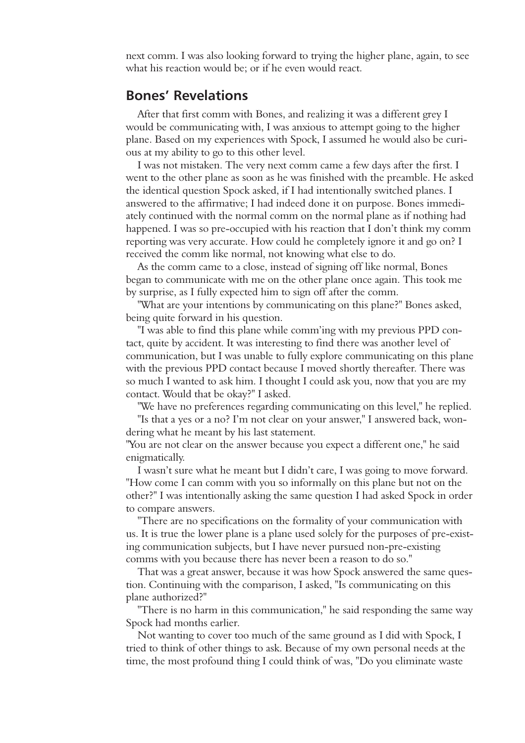next comm. I was also looking forward to trying the higher plane, again, to see what his reaction would be; or if he even would react.

## **Bones' Revelations**

After that first comm with Bones, and realizing it was a different grey I would be communicating with, I was anxious to attempt going to the higher plane. Based on my experiences with Spock, I assumed he would also be curious at my ability to go to this other level.

I was not mistaken. The very next comm came a few days after the first. I went to the other plane as soon as he was finished with the preamble. He asked the identical question Spock asked, if I had intentionally switched planes. I answered to the affirmative; I had indeed done it on purpose. Bones immediately continued with the normal comm on the normal plane as if nothing had happened. I was so pre-occupied with his reaction that I don't think my comm reporting was very accurate. How could he completely ignore it and go on? I received the comm like normal, not knowing what else to do.

As the comm came to a close, instead of signing off like normal, Bones began to communicate with me on the other plane once again. This took me by surprise, as I fully expected him to sign off after the comm.

"What are your intentions by communicating on this plane?" Bones asked, being quite forward in his question.

"I was able to find this plane while comm'ing with my previous PPD contact, quite by accident. It was interesting to find there was another level of communication, but I was unable to fully explore communicating on this plane with the previous PPD contact because I moved shortly thereafter. There was so much I wanted to ask him. I thought I could ask you, now that you are my contact. Would that be okay?" I asked.

"We have no preferences regarding communicating on this level," he replied.

"Is that a yes or a no? I'm not clear on your answer," I answered back, wondering what he meant by his last statement. "You are not clear on the answer because you expect a different one," he said

enigmatically.

I wasn't sure what he meant but I didn't care, I was going to move forward. "How come I can comm with you so informally on this plane but not on the other?" I was intentionally asking the same question I had asked Spock in order to compare answers.

"There are no specifications on the formality of your communication with us. It is true the lower plane is a plane used solely for the purposes of pre-existing communication subjects, but I have never pursued non-pre-existing comms with you because there has never been a reason to do so."

That was a great answer, because it was how Spock answered the same question. Continuing with the comparison, I asked, "Is communicating on this plane authorized?"

"There is no harm in this communication," he said responding the same way Spock had months earlier.

Not wanting to cover too much of the same ground as I did with Spock, I tried to think of other things to ask. Because of my own personal needs at the time, the most profound thing I could think of was, "Do you eliminate waste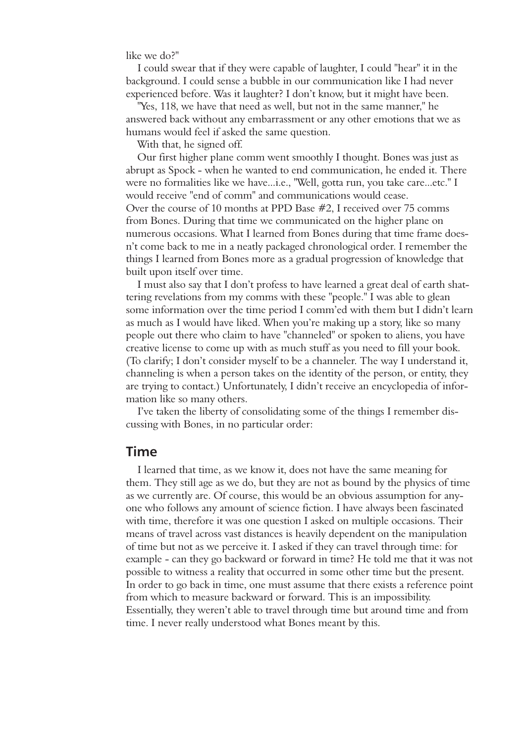like we do?"

I could swear that if they were capable of laughter, I could "hear" it in the background. I could sense a bubble in our communication like I had never experienced before. Was it laughter? I don't know, but it might have been.

"Yes, 118, we have that need as well, but not in the same manner," he answered back without any embarrassment or any other emotions that we as humans would feel if asked the same question.

With that, he signed off.

Our first higher plane comm went smoothly I thought. Bones was just as abrupt as Spock - when he wanted to end communication, he ended it. There were no formalities like we have...i.e., "Well, gotta run, you take care...etc." I would receive "end of comm" and communications would cease. Over the course of 10 months at PPD Base #2, I received over 75 comms from Bones. During that time we communicated on the higher plane on numerous occasions. What I learned from Bones during that time frame doesn't come back to me in a neatly packaged chronological order. I remember the things I learned from Bones more as a gradual progression of knowledge that built upon itself over time.

I must also say that I don't profess to have learned a great deal of earth shattering revelations from my comms with these "people." I was able to glean some information over the time period I comm'ed with them but I didn't learn as much as I would have liked. When you're making up a story, like so many people out there who claim to have "channeled" or spoken to aliens, you have creative license to come up with as much stuff as you need to fill your book. (To clarify; I don't consider myself to be a channeler. The way I understand it, channeling is when a person takes on the identity of the person, or entity, they are trying to contact.) Unfortunately, I didn't receive an encyclopedia of information like so many others.

Ive taken the liberty of consolidating some of the things I remember discussing with Bones, in no particular order:

#### Time

I learned that time, as we know it, does not have the same meaning for them. They still age as we do, but they are not as bound by the physics of time as we currently are. Of course, this would be an obvious assumption for anyone who follows any amount of science fiction. I have always been fascinated with time, therefore it was one question I asked on multiple occasions. Their means of travel across vast distances is heavily dependent on the manipulation of time but not as we perceive it. I asked if they can travel through time: for example - can they go backward or forward in time? He told me that it was not possible to witness a reality that occurred in some other time but the present. In order to go back in time, one must assume that there exists a reference point from which to measure backward or forward. This is an impossibility. Essentially, they weren't able to travel through time but around time and from time. I never really understood what Bones meant by this.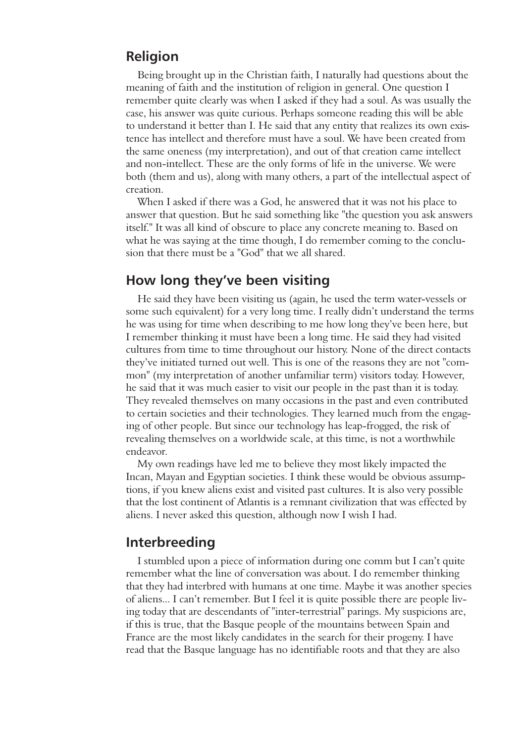## Religion

Being brought up in the Christian faith, I naturally had questions about the meaning of faith and the institution of religion in general. One question I remember quite clearly was when I asked if they had a soul. As was usually the case, his answer was quite curious. Perhaps someone reading this will be able to understand it better than I. He said that any entity that realizes its own existence has intellect and therefore must have a soul. We have been created from the same oneness (my interpretation), and out of that creation came intellect and non-intellect. These are the only forms of life in the universe. We were both (them and us), along with many others, a part of the intellectual aspect of creation.

When I asked if there was a God, he answered that it was not his place to answer that question. But he said something like "the question you ask answers itself." It was all kind of obscure to place any concrete meaning to. Based on what he was saying at the time though, I do remember coming to the conclusion that there must be a "God" that we all shared.

## How long they've been visiting

He said they have been visiting us (again, he used the term water-vessels or some such equivalent) for a very long time. I really didn't understand the terms he was using for time when describing to me how long they've been here, but I remember thinking it must have been a long time. He said they had visited cultures from time to time throughout our history. None of the direct contacts they've initiated turned out well. This is one of the reasons they are not "common" (my interpretation of another unfamiliar term) visitors today. However, he said that it was much easier to visit our people in the past than it is today. They revealed themselves on many occasions in the past and even contributed to certain societies and their technologies. They learned much from the engaging of other people. But since our technology has leap-frogged, the risk of revealing themselves on a worldwide scale, at this time, is not a worthwhile endeavor.

My own readings have led me to believe they most likely impacted the Incan, Mayan and Egyptian societies. I think these would be obvious assumptions, if you knew aliens exist and visited past cultures. It is also very possible that the lost continent of Atlantis is a remnant civilization that was effected by aliens. I never asked this question, although now I wish I had.

## Interbreeding

I stumbled upon a piece of information during one comm but I can't quite remember what the line of conversation was about. I do remember thinking that they had interbred with humans at one time. Maybe it was another species of aliens... I can't remember. But I feel it is quite possible there are people living today that are descendants of "inter-terrestrial" parings. My suspicions are, if this is true, that the Basque people of the mountains between Spain and France are the most likely candidates in the search for their progeny. I have read that the Basque language has no identifiable roots and that they are also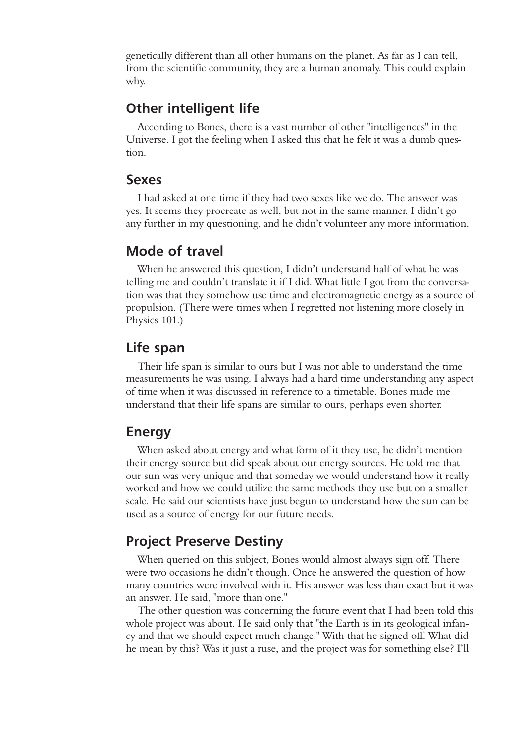genetically different than all other humans on the planet. As far as I can tell, from the scientific community, they are a human anomaly. This could explain why.

## Other intelligent life

According to Bones, there is a vast number of other "intelligences" in the Universe. I got the feeling when I asked this that he felt it was a dumb question.

#### Sexes

I had asked at one time if they had two sexes like we do. The answer was yes. It seems they procreate as well, but not in the same manner. I didn't go any further in my questioning, and he didn't volunteer any more information.

## Mode of travel

When he answered this question, I didn't understand half of what he was telling me and couldn't translate it if I did. What little I got from the conversation was that they somehow use time and electromagnetic energy as a source of propulsion. (There were times when I regretted not listening more closely in Physics 101.)

## Life span

Their life span is similar to ours but I was not able to understand the time measurements he was using. I always had a hard time understanding any aspect of time when it was discussed in reference to a timetable. Bones made me understand that their life spans are similar to ours, perhaps even shorter.

## Energy

When asked about energy and what form of it they use, he didn't mention their energy source but did speak about our energy sources. He told me that our sun was very unique and that someday we would understand how it really worked and how we could utilize the same methods they use but on a smaller scale. He said our scientists have just begun to understand how the sun can be used as a source of energy for our future needs.

## Project Preserve Destiny

When queried on this subject, Bones would almost always sign off. There were two occasions he didn't though. Once he answered the question of how many countries were involved with it. His answer was less than exact but it was an answer. He said, "more than one."

The other question was concerning the future event that I had been told this whole project was about. He said only that "the Earth is in its geological infancy and that we should expect much change." With that he signed off. What did he mean by this? Was it just a ruse, and the project was for something else? Ill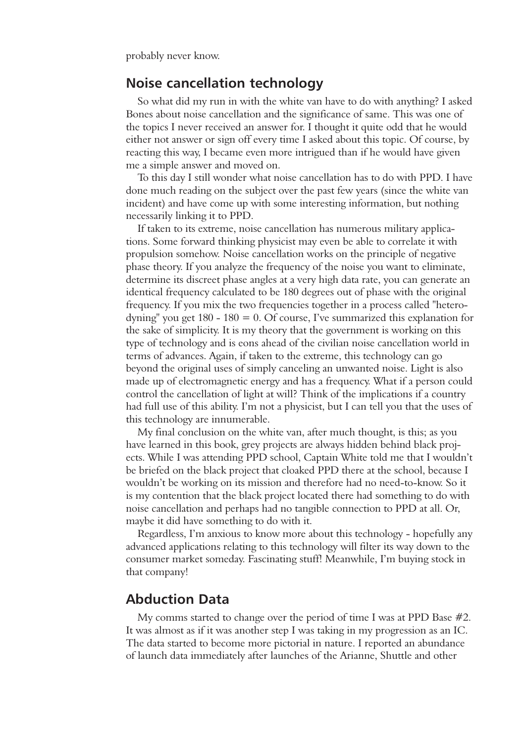probably never know.

## Noise cancellation technology

So what did my run in with the white van have to do with anything? I asked Bones about noise cancellation and the significance of same. This was one of the topics I never received an answer for. I thought it quite odd that he would either not answer or sign off every time I asked about this topic. Of course, by reacting this way, I became even more intrigued than if he would have given me a simple answer and moved on.

To this day I still wonder what noise cancellation has to do with PPD. I have done much reading on the subject over the past few years (since the white van incident) and have come up with some interesting information, but nothing necessarily linking it to PPD.

If taken to its extreme, noise cancellation has numerous military applications. Some forward thinking physicist may even be able to correlate it with propulsion somehow. Noise cancellation works on the principle of negative phase theory. If you analyze the frequency of the noise you want to eliminate, determine its discreet phase angles at a very high data rate, you can generate an identical frequency calculated to be 180 degrees out of phase with the original frequency. If you mix the two frequencies together in a process called "heterodyning" you get  $180 - 180 = 0$ . Of course, I've summarized this explanation for the sake of simplicity. It is my theory that the government is working on this type of technology and is eons ahead of the civilian noise cancellation world in terms of advances. Again, if taken to the extreme, this technology can go beyond the original uses of simply canceling an unwanted noise. Light is also made up of electromagnetic energy and has a frequency. What if a person could control the cancellation of light at will? Think of the implications if a country had full use of this ability. I'm not a physicist, but I can tell you that the uses of this technology are innumerable.

My final conclusion on the white van, after much thought, is this; as you have learned in this book, grey projects are always hidden behind black projects. While I was attending PPD school, Captain White told me that I wouldn't be briefed on the black project that cloaked PPD there at the school, because I wouldn't be working on its mission and therefore had no need-to-know. So it is my contention that the black project located there had something to do with noise cancellation and perhaps had no tangible connection to PPD at all. Or, maybe it did have something to do with it.

Regardless, Im anxious to know more about this technology - hopefully any advanced applications relating to this technology will filter its way down to the consumer market someday. Fascinating stuff! Meanwhile, Im buying stock in that company!

## Abduction Data

My comms started to change over the period of time I was at PPD Base #2. It was almost as if it was another step I was taking in my progression as an IC. The data started to become more pictorial in nature. I reported an abundance of launch data immediately after launches of the Arianne, Shuttle and other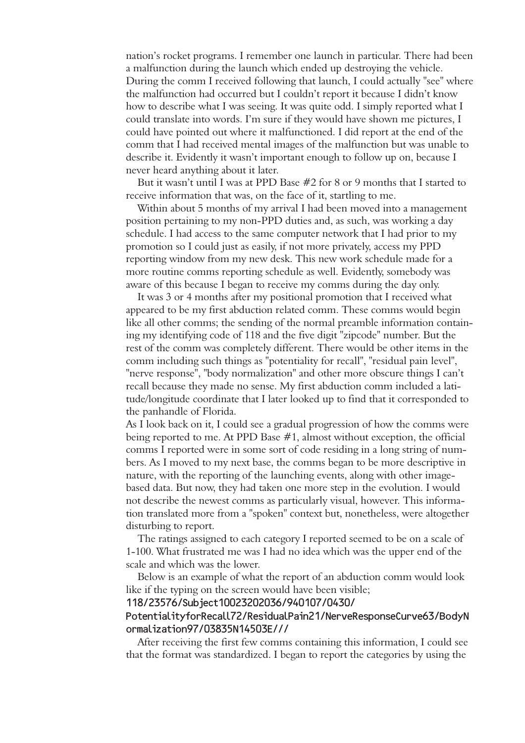nation's rocket programs. I remember one launch in particular. There had been a malfunction during the launch which ended up destroying the vehicle. During the comm I received following that launch, I could actually "see" where the malfunction had occurred but I couldn't report it because I didn't know how to describe what I was seeing. It was quite odd. I simply reported what I could translate into words. Im sure if they would have shown me pictures, I could have pointed out where it malfunctioned. I did report at the end of the comm that I had received mental images of the malfunction but was unable to describe it. Evidently it wasn't important enough to follow up on, because I never heard anything about it later.

But it wasn't until I was at PPD Base #2 for 8 or 9 months that I started to receive information that was, on the face of it, startling to me.

Within about 5 months of my arrival I had been moved into a management position pertaining to my non-PPD duties and, as such, was working a day schedule. I had access to the same computer network that I had prior to my promotion so I could just as easily, if not more privately, access my PPD reporting window from my new desk. This new work schedule made for a more routine comms reporting schedule as well. Evidently, somebody was aware of this because I began to receive my comms during the day only.

It was 3 or 4 months after my positional promotion that I received what appeared to be my first abduction related comm. These comms would begin like all other comms; the sending of the normal preamble information containing my identifying code of 118 and the five digit "zipcode" number. But the rest of the comm was completely different. There would be other items in the comm including such things as "potentiality for recall", "residual pain level", "nerve response", "body normalization" and other more obscure things I can't recall because they made no sense. My first abduction comm included a latitude/longitude coordinate that I later looked up to find that it corresponded to the panhandle of Florida.

As I look back on it, I could see a gradual progression of how the comms were being reported to me. At PPD Base #1, almost without exception, the official comms I reported were in some sort of code residing in a long string of numbers. As I moved to my next base, the comms began to be more descriptive in nature, with the reporting of the launching events, along with other imagebased data. But now, they had taken one more step in the evolution. I would not describe the newest comms as particularly visual, however. This information translated more from a "spoken" context but, nonetheless, were altogether disturbing to report.

The ratings assigned to each category I reported seemed to be on a scale of 1-100. What frustrated me was I had no idea which was the upper end of the scale and which was the lower.

Below is an example of what the report of an abduction comm would look like if the typing on the screen would have been visible;

# 118/23576/Subject10023202036/940107/0430/

#### PotentialityforRecall72/ResidualPain21/NerveResponseCurve63/BodyN ormalization97/03835N14503E///

After receiving the first few comms containing this information, I could see that the format was standardized. I began to report the categories by using the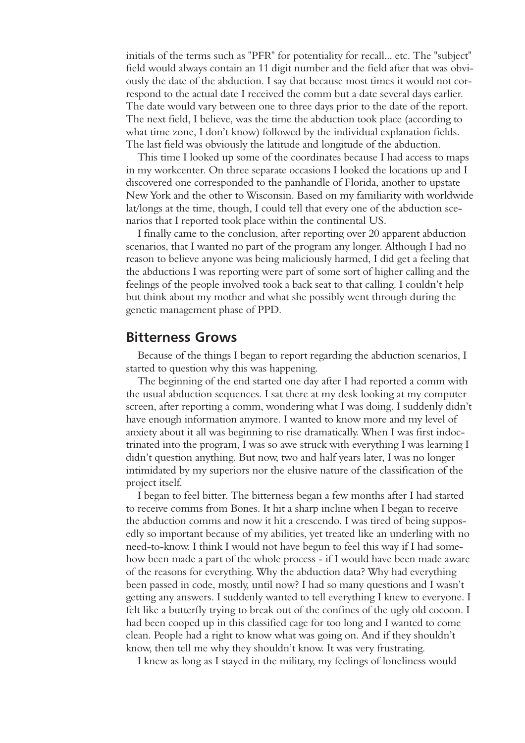initials of the terms such as "PFR" for potentiality for recall... etc. The "subject" field would always contain an 11 digit number and the field after that was obviously the date of the abduction. I say that because most times it would not correspond to the actual date I received the comm but a date several days earlier. The date would vary between one to three days prior to the date of the report. The next field, I believe, was the time the abduction took place (according to what time zone, I don't know) followed by the individual explanation fields. The last field was obviously the latitude and longitude of the abduction.

This time I looked up some of the coordinates because I had access to maps in my workcenter. On three separate occasions I looked the locations up and I discovered one corresponded to the panhandle of Florida, another to upstate New York and the other to Wisconsin. Based on my familiarity with worldwide lat/longs at the time, though, I could tell that every one of the abduction scenarios that I reported took place within the continental US.

I finally came to the conclusion, after reporting over 20 apparent abduction scenarios, that I wanted no part of the program any longer. Although I had no reason to believe anyone was being maliciously harmed, I did get a feeling that the abductions I was reporting were part of some sort of higher calling and the feelings of the people involved took a back seat to that calling. I couldn't help but think about my mother and what she possibly went through during the genetic management phase of PPD.

#### Bitterness Grows

Because of the things I began to report regarding the abduction scenarios, I started to question why this was happening.

The beginning of the end started one day after I had reported a comm with the usual abduction sequences. I sat there at my desk looking at my computer screen, after reporting a comm, wondering what I was doing. I suddenly didn't have enough information anymore. I wanted to know more and my level of anxiety about it all was beginning to rise dramatically. When I was first indoctrinated into the program, I was so awe struck with everything I was learning I didn't question anything. But now, two and half years later, I was no longer intimidated by my superiors nor the elusive nature of the classification of the project itself.

I began to feel bitter. The bitterness began a few months after I had started to receive comms from Bones. It hit a sharp incline when I began to receive the abduction comms and now it hit a crescendo. I was tired of being supposedly so important because of my abilities, yet treated like an underling with no need-to-know. I think I would not have begun to feel this way if I had somehow been made a part of the whole process - if I would have been made aware of the reasons for everything. Why the abduction data? Why had everything been passed in code, mostly, until now? I had so many questions and I wasn't getting any answers. I suddenly wanted to tell everything I knew to everyone. I felt like a butterfly trying to break out of the confines of the ugly old cocoon. I had been cooped up in this classified cage for too long and I wanted to come clean. People had a right to know what was going on. And if they shouldn't know, then tell me why they shouldn't know. It was very frustrating.

I knew as long as I stayed in the military, my feelings of loneliness would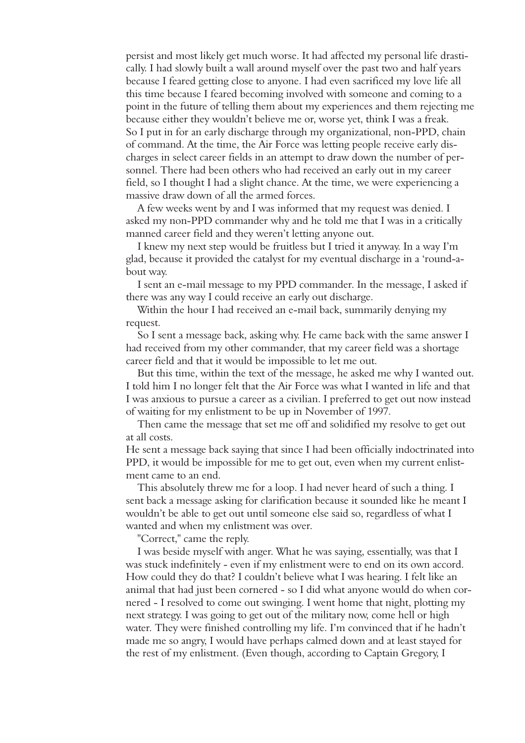persist and most likely get much worse. It had affected my personal life drastically. I had slowly built a wall around myself over the past two and half years because I feared getting close to anyone. I had even sacrificed my love life all this time because I feared becoming involved with someone and coming to a point in the future of telling them about my experiences and them rejecting me because either they wouldn't believe me or, worse yet, think I was a freak. So I put in for an early discharge through my organizational, non-PPD, chain of command. At the time, the Air Force was letting people receive early discharges in select career fields in an attempt to draw down the number of personnel. There had been others who had received an early out in my career field, so I thought I had a slight chance. At the time, we were experiencing a massive draw down of all the armed forces.

A few weeks went by and I was informed that my request was denied. I asked my non-PPD commander why and he told me that I was in a critically manned career field and they weren't letting anyone out.

I knew my next step would be fruitless but I tried it anyway. In a way I'm glad, because it provided the catalyst for my eventual discharge in a 'round-about way.

I sent an e-mail message to my PPD commander. In the message, I asked if there was any way I could receive an early out discharge.

Within the hour I had received an e-mail back, summarily denying my request.

So I sent a message back, asking why. He came back with the same answer I had received from my other commander, that my career field was a shortage career field and that it would be impossible to let me out.

But this time, within the text of the message, he asked me why I wanted out. I told him I no longer felt that the Air Force was what I wanted in life and that I was anxious to pursue a career as a civilian. I preferred to get out now instead of waiting for my enlistment to be up in November of 1997.

Then came the message that set me off and solidified my resolve to get out at all costs.

He sent a message back saying that since I had been officially indoctrinated into PPD, it would be impossible for me to get out, even when my current enlistment came to an end.

This absolutely threw me for a loop. I had never heard of such a thing. I sent back a message asking for clarification because it sounded like he meant I wouldn't be able to get out until someone else said so, regardless of what I wanted and when my enlistment was over.

"Correct," came the reply.

I was beside myself with anger. What he was saying, essentially, was that I was stuck indefinitely - even if my enlistment were to end on its own accord. How could they do that? I couldn't believe what I was hearing. I felt like an animal that had just been cornered - so I did what anyone would do when cornered - I resolved to come out swinging. I went home that night, plotting my next strategy. I was going to get out of the military now, come hell or high water. They were finished controlling my life. I'm convinced that if he hadn't made me so angry, I would have perhaps calmed down and at least stayed for the rest of my enlistment. (Even though, according to Captain Gregory, I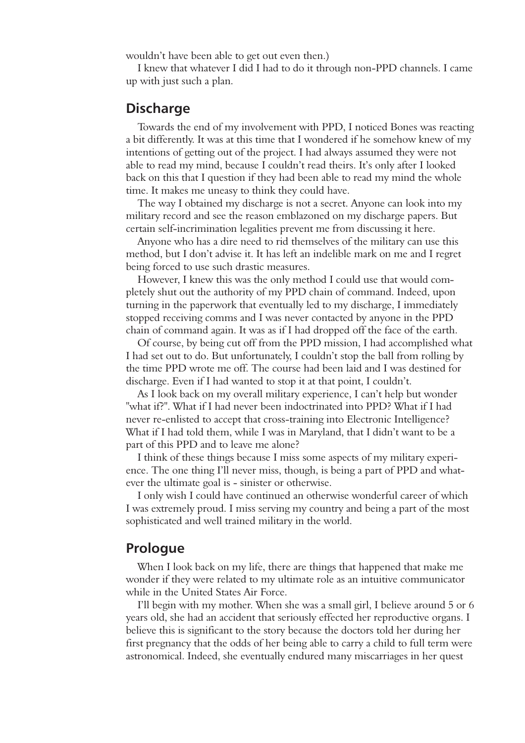wouldn't have been able to get out even then.)

I knew that whatever I did I had to do it through non-PPD channels. I came up with just such a plan.

#### Discharge

Towards the end of my involvement with PPD, I noticed Bones was reacting a bit differently. It was at this time that I wondered if he somehow knew of my intentions of getting out of the project. I had always assumed they were not able to read my mind, because I couldn't read theirs. It's only after I looked back on this that I question if they had been able to read my mind the whole time. It makes me uneasy to think they could have.

The way I obtained my discharge is not a secret. Anyone can look into my military record and see the reason emblazoned on my discharge papers. But certain self-incrimination legalities prevent me from discussing it here.

Anyone who has a dire need to rid themselves of the military can use this method, but I don't advise it. It has left an indelible mark on me and I regret being forced to use such drastic measures.

However, I knew this was the only method I could use that would completely shut out the authority of my PPD chain of command. Indeed, upon turning in the paperwork that eventually led to my discharge, I immediately stopped receiving comms and I was never contacted by anyone in the PPD chain of command again. It was as if I had dropped off the face of the earth.

Of course, by being cut off from the PPD mission, I had accomplished what I had set out to do. But unfortunately, I couldn't stop the ball from rolling by the time PPD wrote me off. The course had been laid and I was destined for discharge. Even if I had wanted to stop it at that point, I couldn't.

As I look back on my overall military experience, I can't help but wonder "what if?". What if I had never been indoctrinated into PPD? What if I had never re-enlisted to accept that cross-training into Electronic Intelligence? What if I had told them, while I was in Maryland, that I didn't want to be a part of this PPD and to leave me alone?

I think of these things because I miss some aspects of my military experience. The one thing I'll never miss, though, is being a part of PPD and whatever the ultimate goal is - sinister or otherwise.

I only wish I could have continued an otherwise wonderful career of which I was extremely proud. I miss serving my country and being a part of the most sophisticated and well trained military in the world.

#### Prologue

When I look back on my life, there are things that happened that make me wonder if they were related to my ultimate role as an intuitive communicator while in the United States Air Force.

I'll begin with my mother. When she was a small girl, I believe around 5 or 6 years old, she had an accident that seriously effected her reproductive organs. I believe this is significant to the story because the doctors told her during her first pregnancy that the odds of her being able to carry a child to full term were astronomical. Indeed, she eventually endured many miscarriages in her quest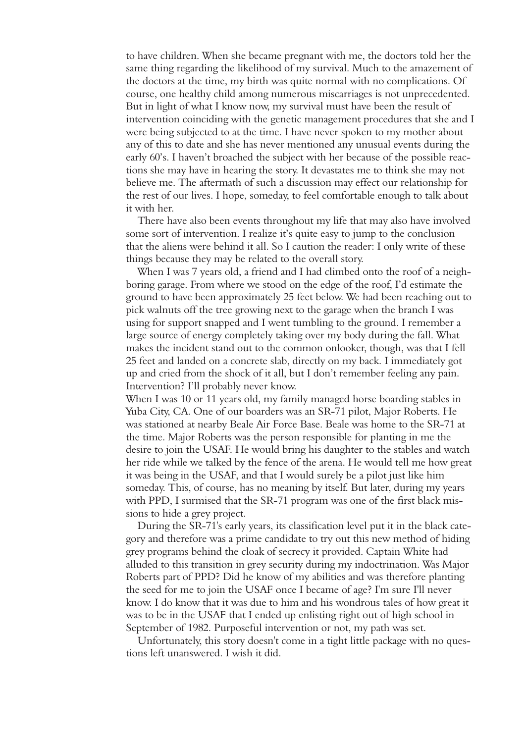to have children. When she became pregnant with me, the doctors told her the same thing regarding the likelihood of my survival. Much to the amazement of the doctors at the time, my birth was quite normal with no complications. Of course, one healthy child among numerous miscarriages is not unprecedented. But in light of what I know now, my survival must have been the result of intervention coinciding with the genetic management procedures that she and I were being subjected to at the time. I have never spoken to my mother about any of this to date and she has never mentioned any unusual events during the early 60's. I haven't broached the subject with her because of the possible reactions she may have in hearing the story. It devastates me to think she may not believe me. The aftermath of such a discussion may effect our relationship for the rest of our lives. I hope, someday, to feel comfortable enough to talk about it with her.

There have also been events throughout my life that may also have involved some sort of intervention. I realize it's quite easy to jump to the conclusion that the aliens were behind it all. So I caution the reader: I only write of these things because they may be related to the overall story.

When I was 7 years old, a friend and I had climbed onto the roof of a neighboring garage. From where we stood on the edge of the roof, I'd estimate the ground to have been approximately 25 feet below. We had been reaching out to pick walnuts off the tree growing next to the garage when the branch I was using for support snapped and I went tumbling to the ground. I remember a large source of energy completely taking over my body during the fall. What makes the incident stand out to the common onlooker, though, was that I fell 25 feet and landed on a concrete slab, directly on my back. I immediately got up and cried from the shock of it all, but I don't remember feeling any pain. Intervention? I'll probably never know.

When I was 10 or 11 years old, my family managed horse boarding stables in Yuba City, CA. One of our boarders was an SR-71 pilot, Major Roberts. He was stationed at nearby Beale Air Force Base. Beale was home to the SR-71 at the time. Major Roberts was the person responsible for planting in me the desire to join the USAF. He would bring his daughter to the stables and watch her ride while we talked by the fence of the arena. He would tell me how great it was being in the USAF, and that I would surely be a pilot just like him someday. This, of course, has no meaning by itself. But later, during my years with PPD, I surmised that the SR-71 program was one of the first black missions to hide a grey project.

During the SR-71's early years, its classification level put it in the black category and therefore was a prime candidate to try out this new method of hiding grey programs behind the cloak of secrecy it provided. Captain White had alluded to this transition in grey security during my indoctrination. Was Major Roberts part of PPD? Did he know of my abilities and was therefore planting the seed for me to join the USAF once I became of age? I'm sure I'll never know. I do know that it was due to him and his wondrous tales of how great it was to be in the USAF that I ended up enlisting right out of high school in September of 1982. Purposeful intervention or not, my path was set.

Unfortunately, this story doesn't come in a tight little package with no questions left unanswered. I wish it did.